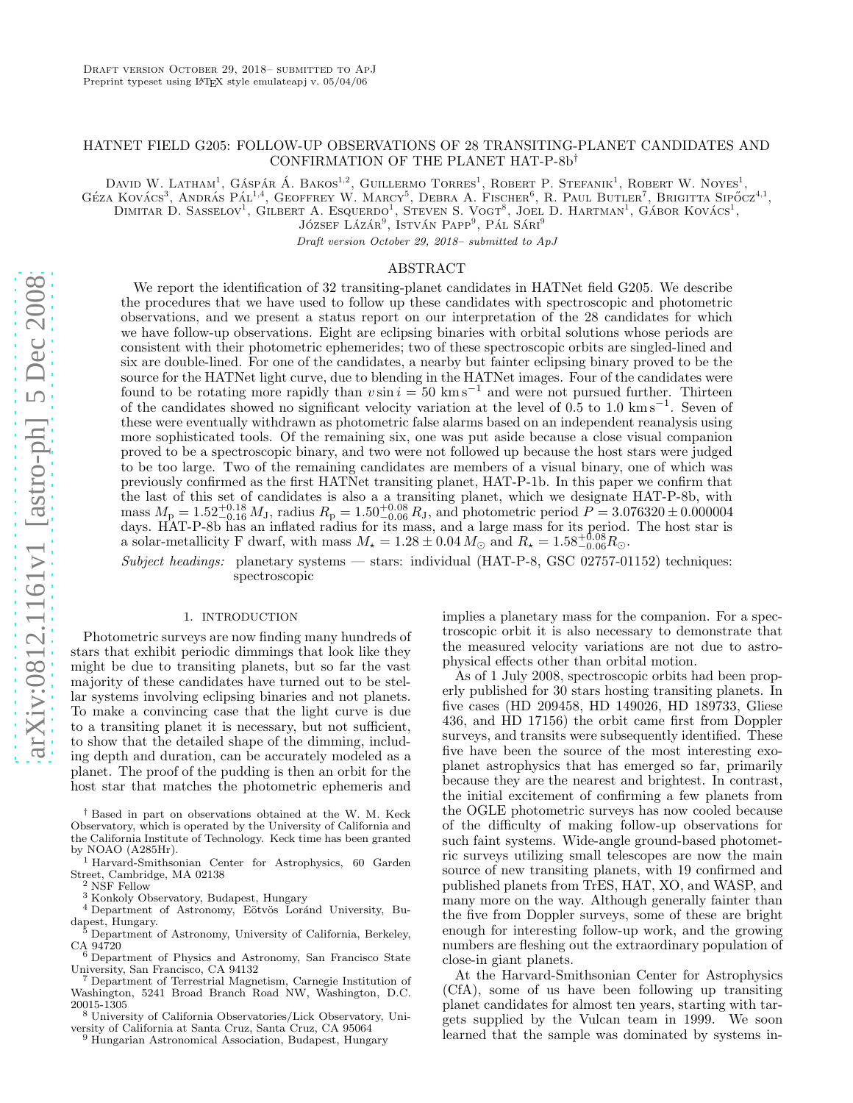# HATNET FIELD G205: FOLLOW-UP OBSERVATIONS OF 28 TRANSITING-PLANET CANDIDATES AND CONFIRMATION OF THE PLANET HAT-P-8b †

DAVID W. LATHAM<sup>1</sup>, GÁSPÁR Á. BAKOS<sup>1,2</sup>, GUILLERMO TORRES<sup>1</sup>, ROBERT P. STEFANIK<sup>1</sup>, ROBERT W. NOYES<sup>1</sup>,

Géza Kovács<sup>3</sup>, András Pál<sup>1,4</sup>, Geoffrey W. Marcy<sup>5</sup>, Debra A. Fischer<sup>6</sup>, R. Paul Butler<sup>7</sup>, Brigitta Sipőcz<sup>4,1</sup>,

DIMITAR D. SASSELOV<sup>1</sup>, GILBERT A. ESQUERDO<sup>1</sup>, STEVEN S. VOGT<sup>8</sup>, JOEL D. HARTMAN<sup>1</sup>, GÁBOR KOVÁCS<sup>1</sup>,

JÓZSEF LÁZÁR<sup>9</sup>, ISTVÁN PAPP<sup>9</sup>, PÁL SÁRI<sup>9</sup>

Draft version October 29, 2018– submitted to ApJ

## ABSTRACT

We report the identification of 32 transiting-planet candidates in HATNet field G205. We describe the procedures that we have used to follow up these candidates with spectroscopic and photometric observations, and we present a status report on our interpretation of the 28 candidates for which we have follow-up observations. Eight are eclipsing binaries with orbital solutions whose periods are consistent with their photometric ephemerides; two of these spectroscopic orbits are singled-lined and six are double-lined. For one of the candidates, a nearby but fainter eclipsing binary proved to be the source for the HATNet light curve, due to blending in the HATNet images. Four of the candidates were found to be rotating more rapidly than  $v \sin i = 50 \text{ km s}^{-1}$  and were not pursued further. Thirteen of the candidates showed no significant velocity variation at the level of  $0.5$  to  $1.0 \text{ km s}^{-1}$ . Seven of these were eventually withdrawn as photometric false alarms based on an independent reanalysis using more sophisticated tools. Of the remaining six, one was put aside because a close visual companion proved to be a spectroscopic binary, and two were not followed up because the host stars were judged to be too large. Two of the remaining candidates are members of a visual binary, one of which was previously confirmed as the first HATNet transiting planet, HAT-P-1b. In this paper we confirm that the last of this set of candidates is also a a transiting planet, which we designate HAT-P-8b, with mass  $M_{\rm p} = 1.52_{-0.16}^{+0.18} M_{\rm J}$ , radius  $R_{\rm p} = 1.50_{-0.06}^{+0.08} R_{\rm J}$ , and photometric period  $P = 3.076320 \pm 0.000004$ days. HAT-P-8b has an inflated radius for its mass, and a large mass for its period. The host star is a solar-metallicity F dwarf, with mass  $M_{\star} = 1.28 \pm 0.04 M_{\odot}$  and  $R_{\star} = 1.58^{+0.08}_{-0.06} R_{\odot}$ .

 $Subject, headings:$  planetary systems — stars: individual (HAT-P-8, GSC 02757-01152) techniques: spectroscopic

#### 1. INTRODUCTION

Photometric surveys are now finding many hundreds of stars that exhibit periodic dimmings that look like they might be due to transiting planets, but so far the vast majority of these candidates have turned out to be stellar systems involving eclipsing binaries and not planets. To make a convincing case that the light curve is due to a transiting planet it is necessary, but not sufficient, to show that the detailed shape of the dimming, including depth and duration, can be accurately modeled as a planet. The proof of the pudding is then an orbit for the host star that matches the photometric ephemeris and

- Department of Terrestrial Magnetism, Carnegie Institution of Washington, 5241 Broad Branch Road NW, Washington, D.C.
- $^8$ University of California Observatories/Lick Observatory, University of California at Santa Cruz, Santa Cruz, CA 95064
- <sup>9</sup> Hungarian Astronomical Association, Budapest, Hungary

implies a planetary mass for the companion. For a spectroscopic orbit it is also necessary to demonstrate that the measured velocity variations are not due to astrophysical effects other than orbital motion.

As of 1 July 2008, spectroscopic orbits had been properly published for 30 stars hosting transiting planets. In five cases (HD 209458, HD 149026, HD 189733, Gliese 436, and HD 17156) the orbit came first from Doppler surveys, and transits were subsequently identified. These five have been the source of the most interesting exoplanet astrophysics that has emerged so far, primarily because they are the nearest and brightest. In contrast, the initial excitement of confirming a few planets from the OGLE photometric surveys has now cooled because of the difficulty of making follow-up observations for such faint systems. Wide-angle ground-based photometric surveys utilizing small telescopes are now the main source of new transiting planets, with 19 confirmed and published planets from TrES, HAT, XO, and WASP, and many more on the way. Although generally fainter than the five from Doppler surveys, some of these are bright enough for interesting follow-up work, and the growing numbers are fleshing out the extraordinary population of close-in giant planets.

At the Harvard-Smithsonian Center for Astrophysics (CfA), some of us have been following up transiting planet candidates for almost ten years, starting with targets supplied by the Vulcan team in 1999. We soon learned that the sample was dominated by systems in-

<sup>†</sup> Based in part on observations obtained at the W. M. Keck Observatory, which is operated by the University of California and the California Institute of Technology. Keck time has been granted

 $^1$  Harvard-Smithsonian Center for Astrophysics, 60 Garden Street, Cambridge, MA 02138 $^2$  NSF Fellow

 $^3$ Konkoly Observatory, Budapest, Hungary  $^4$  Department of Astronomy, Eötvös Loránd University, Budapest, Hungary.

Department of Astronomy, University of California, Berkeley,

CA 94720<br>
<sup>6</sup> Department of Physics and Astronomy, San Francisco State<br>
University, San Francisco, CA 94132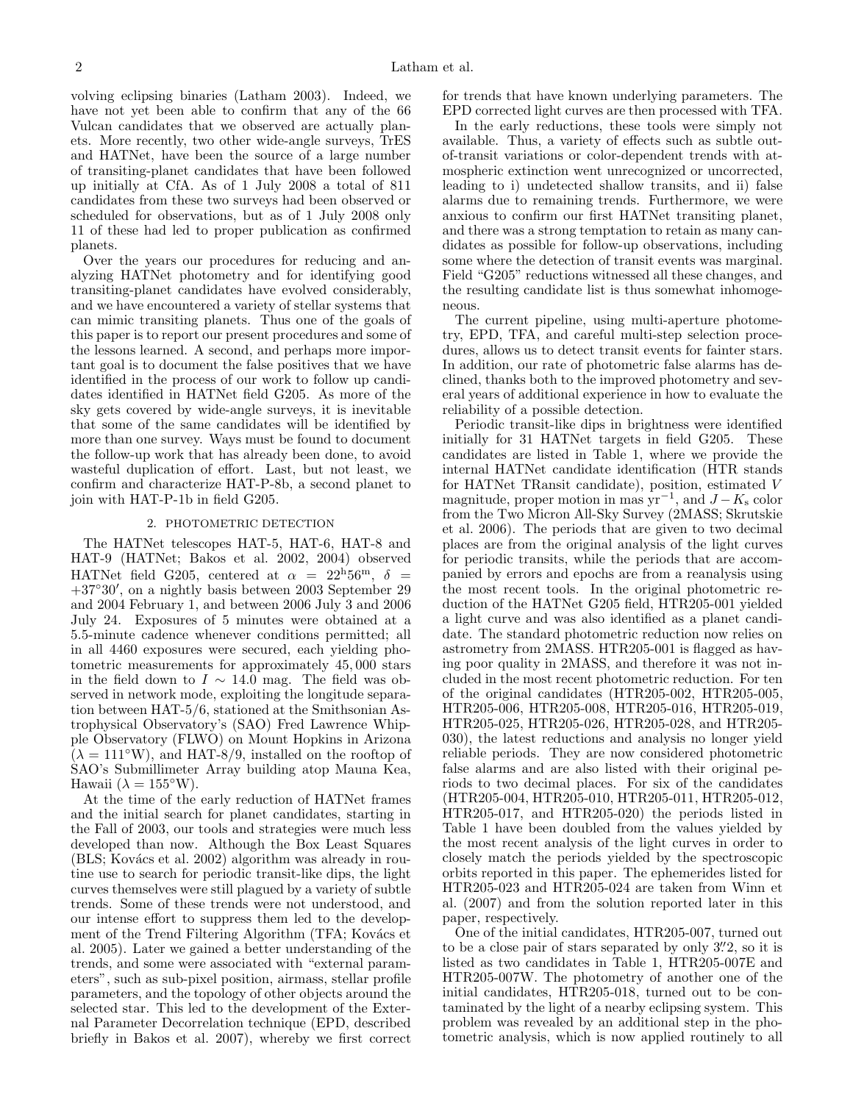volving eclipsing binaries (Latham 2003). Indeed, we have not yet been able to confirm that any of the 66 Vulcan candidates that we observed are actually planets. More recently, two other wide-angle surveys, TrES and HATNet, have been the source of a large number of transiting-planet candidates that have been followed up initially at CfA. As of 1 July 2008 a total of 811 candidates from these two surveys had been observed or scheduled for observations, but as of 1 July 2008 only 11 of these had led to proper publication as confirmed planets.

Over the years our procedures for reducing and analyzing HATNet photometry and for identifying good transiting-planet candidates have evolved considerably, and we have encountered a variety of stellar systems that can mimic transiting planets. Thus one of the goals of this paper is to report our present procedures and some of the lessons learned. A second, and perhaps more important goal is to document the false positives that we have identified in the process of our work to follow up candidates identified in HATNet field G205. As more of the sky gets covered by wide-angle surveys, it is inevitable that some of the same candidates will be identified by more than one survey. Ways must be found to document the follow-up work that has already been done, to avoid wasteful duplication of effort. Last, but not least, we confirm and characterize HAT-P-8b, a second planet to join with HAT-P-1b in field G205.

### 2. PHOTOMETRIC DETECTION

The HATNet telescopes HAT-5, HAT-6, HAT-8 and HAT-9 (HATNet; Bakos et al. 2002, 2004) observed HATNet field G205, centered at  $\alpha = 22^{\text{h}}56^{\text{m}}$ ,  $\delta =$ +37◦30′ , on a nightly basis between 2003 September 29 and 2004 February 1, and between 2006 July 3 and 2006 July 24. Exposures of 5 minutes were obtained at a 5.5-minute cadence whenever conditions permitted; all in all 4460 exposures were secured, each yielding photometric measurements for approximately 45, 000 stars in the field down to  $I \sim 14.0$  mag. The field was observed in network mode, exploiting the longitude separation between HAT-5/6, stationed at the Smithsonian Astrophysical Observatory's (SAO) Fred Lawrence Whipple Observatory (FLWO) on Mount Hopkins in Arizona  $(\lambda = 111 \text{°W})$ , and HAT-8/9, installed on the rooftop of SAO's Submillimeter Array building atop Mauna Kea, Hawaii ( $\lambda = 155$ °W).

At the time of the early reduction of HATNet frames and the initial search for planet candidates, starting in the Fall of 2003, our tools and strategies were much less developed than now. Although the Box Least Squares  $(BLS; Kovács et al. 2002) algorithm was already in rou$ tine use to search for periodic transit-like dips, the light curves themselves were still plagued by a variety of subtle trends. Some of these trends were not understood, and our intense effort to suppress them led to the development of the Trend Filtering Algorithm (TFA; Kovács et al. 2005). Later we gained a better understanding of the trends, and some were associated with "external parameters", such as sub-pixel position, airmass, stellar profile parameters, and the topology of other objects around the selected star. This led to the development of the External Parameter Decorrelation technique (EPD, described briefly in Bakos et al. 2007), whereby we first correct

for trends that have known underlying parameters. The EPD corrected light curves are then processed with TFA.

In the early reductions, these tools were simply not available. Thus, a variety of effects such as subtle outof-transit variations or color-dependent trends with atmospheric extinction went unrecognized or uncorrected, leading to i) undetected shallow transits, and ii) false alarms due to remaining trends. Furthermore, we were anxious to confirm our first HATNet transiting planet, and there was a strong temptation to retain as many candidates as possible for follow-up observations, including some where the detection of transit events was marginal. Field "G205" reductions witnessed all these changes, and the resulting candidate list is thus somewhat inhomogeneous.

The current pipeline, using multi-aperture photometry, EPD, TFA, and careful multi-step selection procedures, allows us to detect transit events for fainter stars. In addition, our rate of photometric false alarms has declined, thanks both to the improved photometry and several years of additional experience in how to evaluate the reliability of a possible detection.

Periodic transit-like dips in brightness were identified initially for 31 HATNet targets in field G205. These candidates are listed in Table 1, where we provide the internal HATNet candidate identification (HTR stands for HATNet TRansit candidate), position, estimated V magnitude, proper motion in mas  $yr^{-1}$ , and  $J - K_s$  color from the Two Micron All-Sky Survey (2MASS; Skrutskie et al. 2006). The periods that are given to two decimal places are from the original analysis of the light curves for periodic transits, while the periods that are accompanied by errors and epochs are from a reanalysis using the most recent tools. In the original photometric reduction of the HATNet G205 field, HTR205-001 yielded a light curve and was also identified as a planet candidate. The standard photometric reduction now relies on astrometry from 2MASS. HTR205-001 is flagged as having poor quality in 2MASS, and therefore it was not included in the most recent photometric reduction. For ten of the original candidates (HTR205-002, HTR205-005, HTR205-006, HTR205-008, HTR205-016, HTR205-019, HTR205-025, HTR205-026, HTR205-028, and HTR205- 030), the latest reductions and analysis no longer yield reliable periods. They are now considered photometric false alarms and are also listed with their original periods to two decimal places. For six of the candidates (HTR205-004, HTR205-010, HTR205-011, HTR205-012, HTR205-017, and HTR205-020) the periods listed in Table 1 have been doubled from the values yielded by the most recent analysis of the light curves in order to closely match the periods yielded by the spectroscopic orbits reported in this paper. The ephemerides listed for HTR205-023 and HTR205-024 are taken from Winn et al. (2007) and from the solution reported later in this paper, respectively.

One of the initial candidates, HTR205-007, turned out to be a close pair of stars separated by only  $3\rlap{.}^{\prime\prime}2$ , so it is listed as two candidates in Table 1, HTR205-007E and HTR205-007W. The photometry of another one of the initial candidates, HTR205-018, turned out to be contaminated by the light of a nearby eclipsing system. This problem was revealed by an additional step in the photometric analysis, which is now applied routinely to all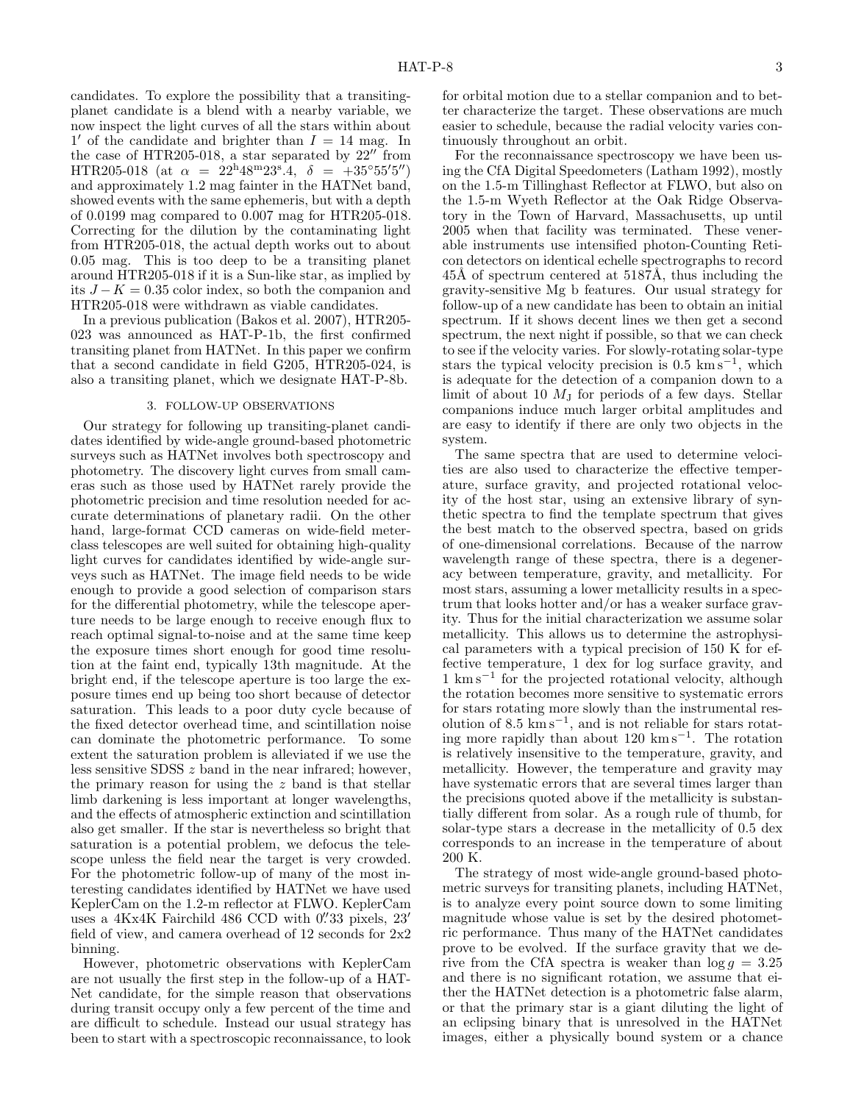candidates. To explore the possibility that a transitingplanet candidate is a blend with a nearby variable, we now inspect the light curves of all the stars within about  $1'$  of the candidate and brighter than  $I = 14$  mag. In the case of HTR205-018, a star separated by  $22''$  from HTR205-018 (at  $\alpha = 22^{\text{h}}48^{\text{m}}23^{\text{s}}.4$ ,  $\delta = +35^{\circ}55'5'$ ) and approximately 1.2 mag fainter in the HATNet band, showed events with the same ephemeris, but with a depth of 0.0199 mag compared to 0.007 mag for HTR205-018. Correcting for the dilution by the contaminating light from HTR205-018, the actual depth works out to about 0.05 mag. This is too deep to be a transiting planet around HTR205-018 if it is a Sun-like star, as implied by its  $J - K = 0.35$  color index, so both the companion and HTR205-018 were withdrawn as viable candidates.

In a previous publication (Bakos et al. 2007), HTR205- 023 was announced as HAT-P-1b, the first confirmed transiting planet from HATNet. In this paper we confirm that a second candidate in field G205, HTR205-024, is also a transiting planet, which we designate HAT-P-8b.

# 3. FOLLOW-UP OBSERVATIONS

Our strategy for following up transiting-planet candidates identified by wide-angle ground-based photometric surveys such as HATNet involves both spectroscopy and photometry. The discovery light curves from small cameras such as those used by HATNet rarely provide the photometric precision and time resolution needed for accurate determinations of planetary radii. On the other hand, large-format CCD cameras on wide-field meterclass telescopes are well suited for obtaining high-quality light curves for candidates identified by wide-angle surveys such as HATNet. The image field needs to be wide enough to provide a good selection of comparison stars for the differential photometry, while the telescope aperture needs to be large enough to receive enough flux to reach optimal signal-to-noise and at the same time keep the exposure times short enough for good time resolution at the faint end, typically 13th magnitude. At the bright end, if the telescope aperture is too large the exposure times end up being too short because of detector saturation. This leads to a poor duty cycle because of the fixed detector overhead time, and scintillation noise can dominate the photometric performance. To some extent the saturation problem is alleviated if we use the less sensitive SDSS z band in the near infrared; however, the primary reason for using the  $z$  band is that stellar limb darkening is less important at longer wavelengths, and the effects of atmospheric extinction and scintillation also get smaller. If the star is nevertheless so bright that saturation is a potential problem, we defocus the telescope unless the field near the target is very crowded. For the photometric follow-up of many of the most interesting candidates identified by HATNet we have used KeplerCam on the 1.2-m reflector at FLWO. KeplerCam uses a 4Kx4K Fairchild 486 CCD with 0. 33 pixels, 23 field of view, and camera overhead of 12 seconds for 2x2 binning.

However, photometric observations with KeplerCam are not usually the first step in the follow-up of a HAT-Net candidate, for the simple reason that observations during transit occupy only a few percent of the time and are difficult to schedule. Instead our usual strategy has been to start with a spectroscopic reconnaissance, to look for orbital motion due to a stellar companion and to better characterize the target. These observations are much easier to schedule, because the radial velocity varies continuously throughout an orbit.

For the reconnaissance spectroscopy we have been using the CfA Digital Speedometers (Latham 1992), mostly on the 1.5-m Tillinghast Reflector at FLWO, but also on the 1.5-m Wyeth Reflector at the Oak Ridge Observatory in the Town of Harvard, Massachusetts, up until 2005 when that facility was terminated. These venerable instruments use intensified photon-Counting Reticon detectors on identical echelle spectrographs to record 45Å of spectrum centered at 5187Å, thus including the gravity-sensitive Mg b features. Our usual strategy for follow-up of a new candidate has been to obtain an initial spectrum. If it shows decent lines we then get a second spectrum, the next night if possible, so that we can check to see if the velocity varies. For slowly-rotating solar-type stars the typical velocity precision is 0.5 km s<sup>-1</sup>, which is adequate for the detection of a companion down to a limit of about 10  $M<sub>J</sub>$  for periods of a few days. Stellar companions induce much larger orbital amplitudes and are easy to identify if there are only two objects in the system.

The same spectra that are used to determine velocities are also used to characterize the effective temperature, surface gravity, and projected rotational velocity of the host star, using an extensive library of synthetic spectra to find the template spectrum that gives the best match to the observed spectra, based on grids of one-dimensional correlations. Because of the narrow wavelength range of these spectra, there is a degeneracy between temperature, gravity, and metallicity. For most stars, assuming a lower metallicity results in a spectrum that looks hotter and/or has a weaker surface gravity. Thus for the initial characterization we assume solar metallicity. This allows us to determine the astrophysical parameters with a typical precision of 150 K for effective temperature, 1 dex for log surface gravity, and 1 km s<sup>−</sup><sup>1</sup> for the projected rotational velocity, although the rotation becomes more sensitive to systematic errors for stars rotating more slowly than the instrumental resolution of  $8.5 \text{ km s}^{-1}$ , and is not reliable for stars rotating more rapidly than about 120 km s<sup>−</sup><sup>1</sup> . The rotation is relatively insensitive to the temperature, gravity, and metallicity. However, the temperature and gravity may have systematic errors that are several times larger than the precisions quoted above if the metallicity is substantially different from solar. As a rough rule of thumb, for solar-type stars a decrease in the metallicity of 0.5 dex corresponds to an increase in the temperature of about 200 K.

The strategy of most wide-angle ground-based photometric surveys for transiting planets, including HATNet, is to analyze every point source down to some limiting magnitude whose value is set by the desired photometric performance. Thus many of the HATNet candidates prove to be evolved. If the surface gravity that we derive from the CfA spectra is weaker than  $\log q = 3.25$ and there is no significant rotation, we assume that either the HATNet detection is a photometric false alarm, or that the primary star is a giant diluting the light of an eclipsing binary that is unresolved in the HATNet images, either a physically bound system or a chance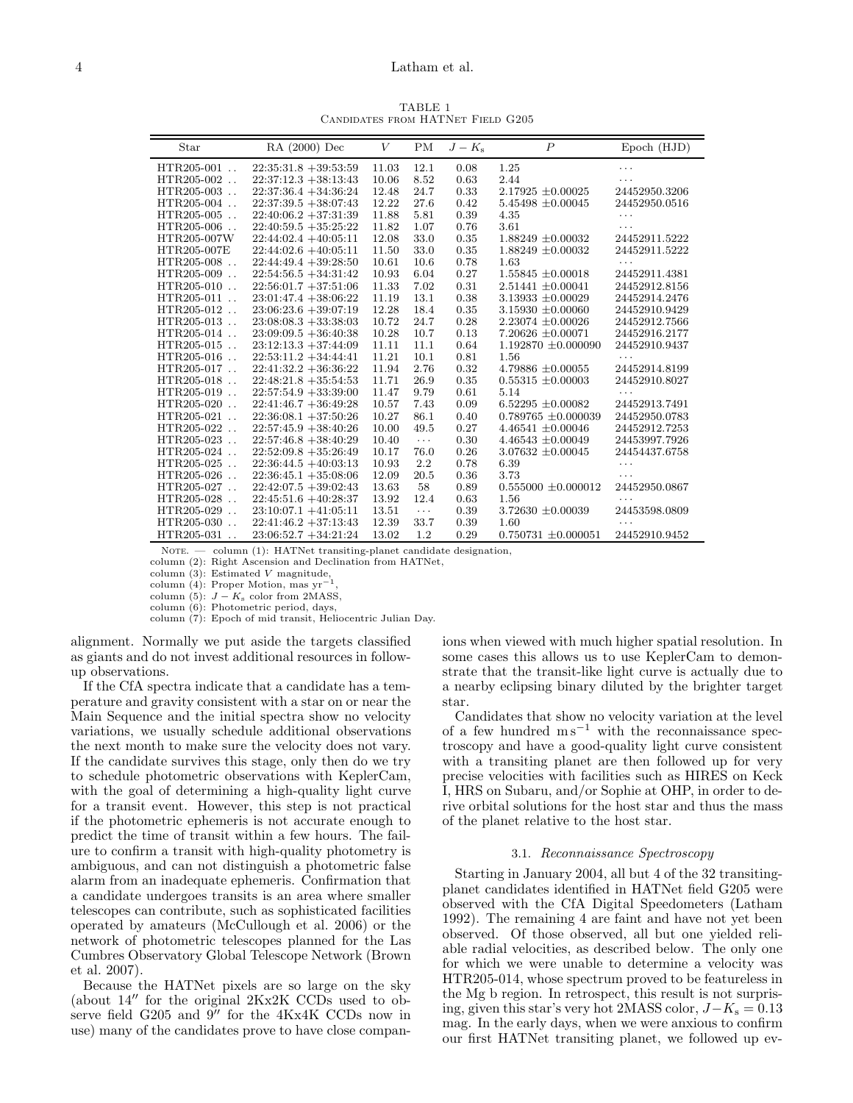TABLE 1 Candidates from HATNet Field G205

| Star                               | RA (2000) Dec           | V     | PM                   | $J-K_{\rm s}$ | $\boldsymbol{P}$        | Epoch (HJD)   |
|------------------------------------|-------------------------|-------|----------------------|---------------|-------------------------|---------------|
| $HTR205-001$ .                     | $22:35:31.8 + 39:53:59$ | 11.03 | 12.1                 | 0.08          | 1.25                    | .             |
| $HTR205-002$ .                     | $22:37:12.3 + 38:13:43$ | 10.06 | 8.52                 | 0.63          | 2.44                    |               |
| $HTR205-003$                       | $22:37:36.4 + 34:36:24$ | 12.48 | 24.7                 | 0.33          | $2.17925 \pm 0.00025$   | 24452950.3206 |
| $HTR205-004$                       | $22:37:39.5 + 38:07:43$ | 12.22 | 27.6                 | 0.42          | $5.45498 \pm 0.00045$   | 24452950.0516 |
| $HTR205-005$                       | $22:40:06.2 +37:31:39$  | 11.88 | 5.81                 | 0.39          | 4.35                    | .             |
| $HTR205-006$ .                     | $22:40:59.5 + 35:25:22$ | 11.82 | 1.07                 | 0.76          | 3.61                    | .             |
| HTR205-007W                        | $22:44:02.4 +40:05:11$  | 12.08 | 33.0                 | 0.35          | $1.88249 \pm 0.00032$   | 24452911.5222 |
| HTR205-007E                        | $22:44:02.6 + 40:05:11$ | 11.50 | 33.0                 | 0.35          | $1.88249 \pm 0.00032$   | 24452911.5222 |
| $HTR205-008$                       | $22:44:49.4 +39:28:50$  | 10.61 | 10.6                 | 0.78          | 1.63                    |               |
| $HTR205-009$                       | $22:54:56.5 + 34:31:42$ | 10.93 | 6.04                 | 0.27          | $1.55845 \pm 0.00018$   | 24452911.4381 |
| $HTR205-010$                       | $22:56:01.7 + 37:51:06$ | 11.33 | 7.02                 | 0.31          | $2.51441 \pm 0.00041$   | 24452912.8156 |
| $HTR205-011$                       | $23:01:47.4 + 38:06:22$ | 11.19 | 13.1                 | 0.38          | $3.13933 \pm 0.00029$   | 24452914.2476 |
| HTR205-012                         | $23:06:23.6 + 39:07:19$ | 12.28 | 18.4                 | 0.35          | $3.15930 \pm 0.00060$   | 24452910.9429 |
| $HTR205-013$                       | $23:08:08.3 + 33:38:03$ | 10.72 | 24.7                 | 0.28          | $2.23074 \pm 0.00026$   | 24452912.7566 |
| $HTR205-014$                       | $23:09:09.5 + 36:40:38$ | 10.28 | 10.7                 | 0.13          | $7.20626 \pm 0.00071$   | 24452916.2177 |
| $HTR205-015$                       | $23:12:13.3 + 37:44:09$ | 11.11 | 11.1                 | 0.64          | $1.192870 \pm 0.000090$ | 24452910.9437 |
| $HTR205-016$                       | $22:53:11.2 +34:44:41$  | 11.21 | 10.1                 | 0.81          | 1.56                    |               |
| $HTR205-017$ .                     | $22:41:32.2 + 36:36:22$ | 11.94 | 2.76                 | 0.32          | $4.79886 \pm 0.00055$   | 24452914.8199 |
| $HTR205-018$                       | $22:48:21.8 +35:54:53$  | 11.71 | 26.9                 | 0.35          | $0.55315 \pm 0.00003$   | 24452910.8027 |
| $HTR205-019$ .                     | $22:57:54.9 + 33:39:00$ | 11.47 | 9.79                 | 0.61          | 5.14                    | .             |
| $HTR205-020$ .                     | $22:41:46.7 + 36:49:28$ | 10.57 | 7.43                 | 0.09          | 6.52295 $\pm$ 0.00082   | 24452913.7491 |
| HTR205-021<br>$\ddot{\phantom{a}}$ | $22:36:08.1 +37:50:26$  | 10.27 | 86.1                 | 0.40          | $0.789765 \pm 0.000039$ | 24452950.0783 |
| $HTR205-022$ .                     | $22:57:45.9 + 38:40:26$ | 10.00 | 49.5                 | 0.27          | $4.46541 \pm 0.00046$   | 24452912.7253 |
| $HTR205-023$                       | $22:57:46.8 + 38:40:29$ | 10.40 | $\ldots$ .           | 0.30          | $4.46543 \pm 0.00049$   | 24453997.7926 |
| HTR205-024                         | $22:52:09.8 + 35:26:49$ | 10.17 | 76.0                 | 0.26          | $3.07632 \pm 0.00045$   | 24454437.6758 |
| $HTR205-025$ .                     | $22:36:44.5 + 40:03:13$ | 10.93 | 2.2                  | 0.78          | 6.39                    | .             |
| $HTR205-026$                       | $22:36:45.1 + 35:08:06$ | 12.09 | 20.5                 | 0.36          | 3.73                    | .             |
| $HTR205-027$                       | $22:42:07.5 +39:02:43$  | 13.63 | 58                   | 0.89          | $0.555000 \pm 0.000012$ | 24452950.0867 |
| HTR205-028<br>$\ddotsc$            | $22:45:51.6 + 40:28:37$ | 13.92 | 12.4                 | 0.63          | 1.56                    | .             |
| $HTR205-029$                       | $23:10:07.1 +41:05:11$  | 13.51 | $\sim$ $\sim$ $\sim$ | 0.39          | $3.72630 \pm 0.00039$   | 24453598.0809 |
| HTR205-030                         | $22:41:46.2 +37:13:43$  | 12.39 | 33.7                 | 0.39          | 1.60                    | $\cdots$      |
| $HTR205-031$ .                     | $23:06:52.7 + 34:21:24$ | 13.02 | 1.2                  | 0.29          | $0.750731 \pm 0.000051$ | 24452910.9452 |

NOTE. - column (1): HATNet transiting-planet candidate designation,

column (2): Right Ascension and Declination from HATNet,

column (3): Estimated V magnitude, column (4): Proper Motion, mas yr−<sup>1</sup>

,

column (5):  $J - K_s$  color from 2MASS, column (6): Photometric period, days,

column (7): Epoch of mid transit, Heliocentric Julian Day.

alignment. Normally we put aside the targets classified as giants and do not invest additional resources in followup observations.

If the CfA spectra indicate that a candidate has a temperature and gravity consistent with a star on or near the Main Sequence and the initial spectra show no velocity variations, we usually schedule additional observations the next month to make sure the velocity does not vary. If the candidate survives this stage, only then do we try to schedule photometric observations with KeplerCam, with the goal of determining a high-quality light curve for a transit event. However, this step is not practical if the photometric ephemeris is not accurate enough to predict the time of transit within a few hours. The failure to confirm a transit with high-quality photometry is ambiguous, and can not distinguish a photometric false alarm from an inadequate ephemeris. Confirmation that a candidate undergoes transits is an area where smaller telescopes can contribute, such as sophisticated facilities operated by amateurs (McCullough et al. 2006) or the network of photometric telescopes planned for the Las Cumbres Observatory Global Telescope Network (Brown et al. 2007).

Because the HATNet pixels are so large on the sky (about 14′′ for the original 2Kx2K CCDs used to observe field G205 and 9" for the 4Kx4K CCDs now in use) many of the candidates prove to have close companions when viewed with much higher spatial resolution. In some cases this allows us to use KeplerCam to demonstrate that the transit-like light curve is actually due to a nearby eclipsing binary diluted by the brighter target star.

Candidates that show no velocity variation at the level of a few hundred  $\text{m s}^{-1}$  with the reconnaissance spectroscopy and have a good-quality light curve consistent with a transiting planet are then followed up for very precise velocities with facilities such as HIRES on Keck I, HRS on Subaru, and/or Sophie at OHP, in order to derive orbital solutions for the host star and thus the mass of the planet relative to the host star.

#### 3.1. Reconnaissance Spectroscopy

Starting in January 2004, all but 4 of the 32 transitingplanet candidates identified in HATNet field G205 were observed with the CfA Digital Speedometers (Latham 1992). The remaining 4 are faint and have not yet been observed. Of those observed, all but one yielded reliable radial velocities, as described below. The only one for which we were unable to determine a velocity was HTR205-014, whose spectrum proved to be featureless in the Mg b region. In retrospect, this result is not surprising, given this star's very hot 2MASS color,  $J-K_s = 0.13$ mag. In the early days, when we were anxious to confirm our first HATNet transiting planet, we followed up ev-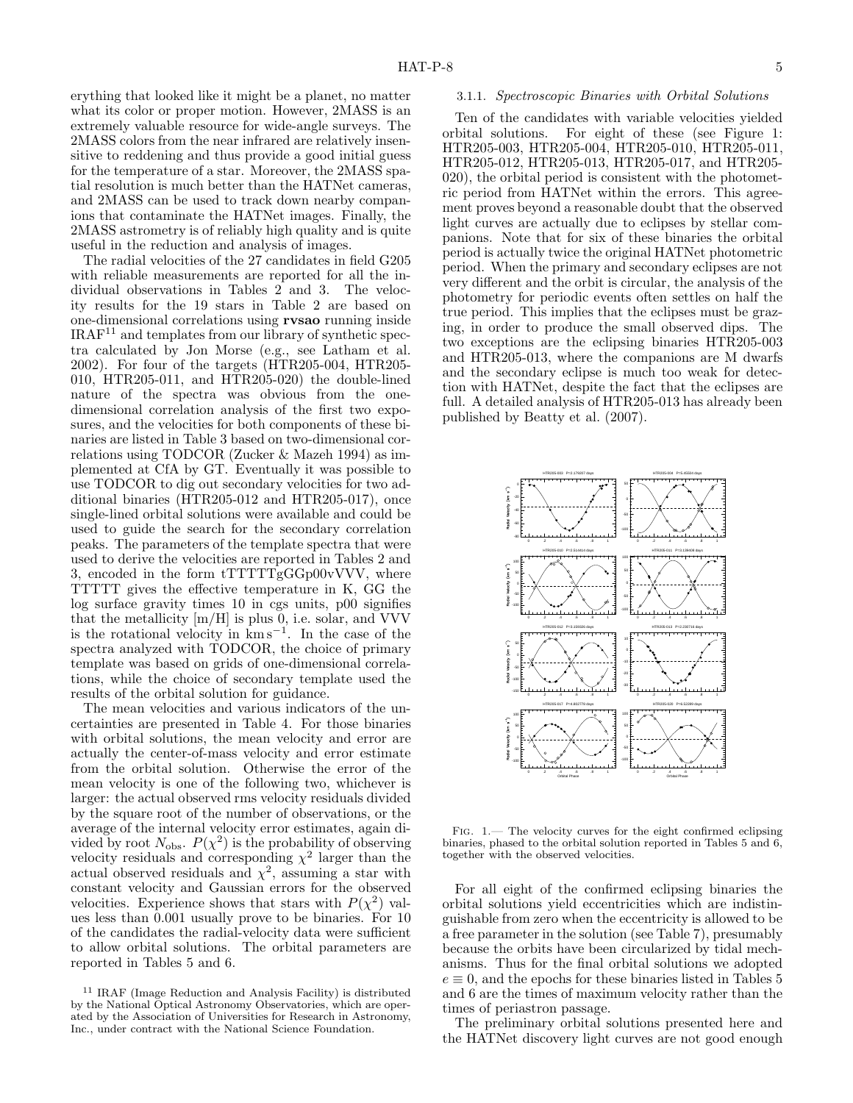erything that looked like it might be a planet, no matter what its color or proper motion. However, 2MASS is an extremely valuable resource for wide-angle surveys. The 2MASS colors from the near infrared are relatively insensitive to reddening and thus provide a good initial guess for the temperature of a star. Moreover, the 2MASS spatial resolution is much better than the HATNet cameras, and 2MASS can be used to track down nearby companions that contaminate the HATNet images. Finally, the 2MASS astrometry is of reliably high quality and is quite useful in the reduction and analysis of images.

The radial velocities of the 27 candidates in field G205 with reliable measurements are reported for all the individual observations in Tables 2 and 3. The velocity results for the 19 stars in Table 2 are based on one-dimensional correlations using rvsao running inside  $IRAF<sup>11</sup>$  and templates from our library of synthetic spectra calculated by Jon Morse (e.g., see Latham et al. 2002). For four of the targets (HTR205-004, HTR205- 010, HTR205-011, and HTR205-020) the double-lined nature of the spectra was obvious from the onedimensional correlation analysis of the first two exposures, and the velocities for both components of these binaries are listed in Table 3 based on two-dimensional correlations using TODCOR (Zucker & Mazeh 1994) as implemented at CfA by GT. Eventually it was possible to use TODCOR to dig out secondary velocities for two additional binaries (HTR205-012 and HTR205-017), once single-lined orbital solutions were available and could be used to guide the search for the secondary correlation peaks. The parameters of the template spectra that were used to derive the velocities are reported in Tables 2 and 3, encoded in the form tTTTTTgGGp00vVVV, where TTTTT gives the effective temperature in K, GG the log surface gravity times 10 in cgs units, p00 signifies that the metallicity [m/H] is plus 0, i.e. solar, and VVV is the rotational velocity in km s<sup>−</sup><sup>1</sup> . In the case of the spectra analyzed with TODCOR, the choice of primary template was based on grids of one-dimensional correlations, while the choice of secondary template used the results of the orbital solution for guidance.

The mean velocities and various indicators of the uncertainties are presented in Table 4. For those binaries with orbital solutions, the mean velocity and error are actually the center-of-mass velocity and error estimate from the orbital solution. Otherwise the error of the mean velocity is one of the following two, whichever is larger: the actual observed rms velocity residuals divided by the square root of the number of observations, or the average of the internal velocity error estimates, again divided by root  $N_{\text{obs}}$ .  $P(\chi^2)$  is the probability of observing velocity residuals and corresponding  $\chi^2$  larger than the actual observed residuals and  $\chi^2$ , assuming a star with constant velocity and Gaussian errors for the observed velocities. Experience shows that stars with  $P(\chi^2)$  values less than 0.001 usually prove to be binaries. For 10 of the candidates the radial-velocity data were sufficient to allow orbital solutions. The orbital parameters are reported in Tables 5 and 6.

#### 3.1.1. Spectroscopic Binaries with Orbital Solutions

Ten of the candidates with variable velocities yielded orbital solutions. For eight of these (see Figure 1: HTR205-003, HTR205-004, HTR205-010, HTR205-011, HTR205-012, HTR205-013, HTR205-017, and HTR205- 020), the orbital period is consistent with the photometric period from HATNet within the errors. This agreement proves beyond a reasonable doubt that the observed light curves are actually due to eclipses by stellar companions. Note that for six of these binaries the orbital period is actually twice the original HATNet photometric period. When the primary and secondary eclipses are not very different and the orbit is circular, the analysis of the photometry for periodic events often settles on half the true period. This implies that the eclipses must be grazing, in order to produce the small observed dips. The two exceptions are the eclipsing binaries HTR205-003 and HTR205-013, where the companions are M dwarfs and the secondary eclipse is much too weak for detection with HATNet, despite the fact that the eclipses are full. A detailed analysis of HTR205-013 has already been published by Beatty et al. (2007).



FIG.  $1$ . The velocity curves for the eight confirmed eclipsing binaries, phased to the orbital solution reported in Tables 5 and 6, together with the observed velocities.

For all eight of the confirmed eclipsing binaries the orbital solutions yield eccentricities which are indistinguishable from zero when the eccentricity is allowed to be a free parameter in the solution (see Table 7), presumably because the orbits have been circularized by tidal mechanisms. Thus for the final orbital solutions we adopted  $e \equiv 0$ , and the epochs for these binaries listed in Tables 5 and 6 are the times of maximum velocity rather than the times of periastron passage.

The preliminary orbital solutions presented here and the HATNet discovery light curves are not good enough

<sup>11</sup> IRAF (Image Reduction and Analysis Facility) is distributed by the National Optical Astronomy Observatories, which are operated by the Association of Universities for Research in Astronomy, Inc., under contract with the National Science Foundation.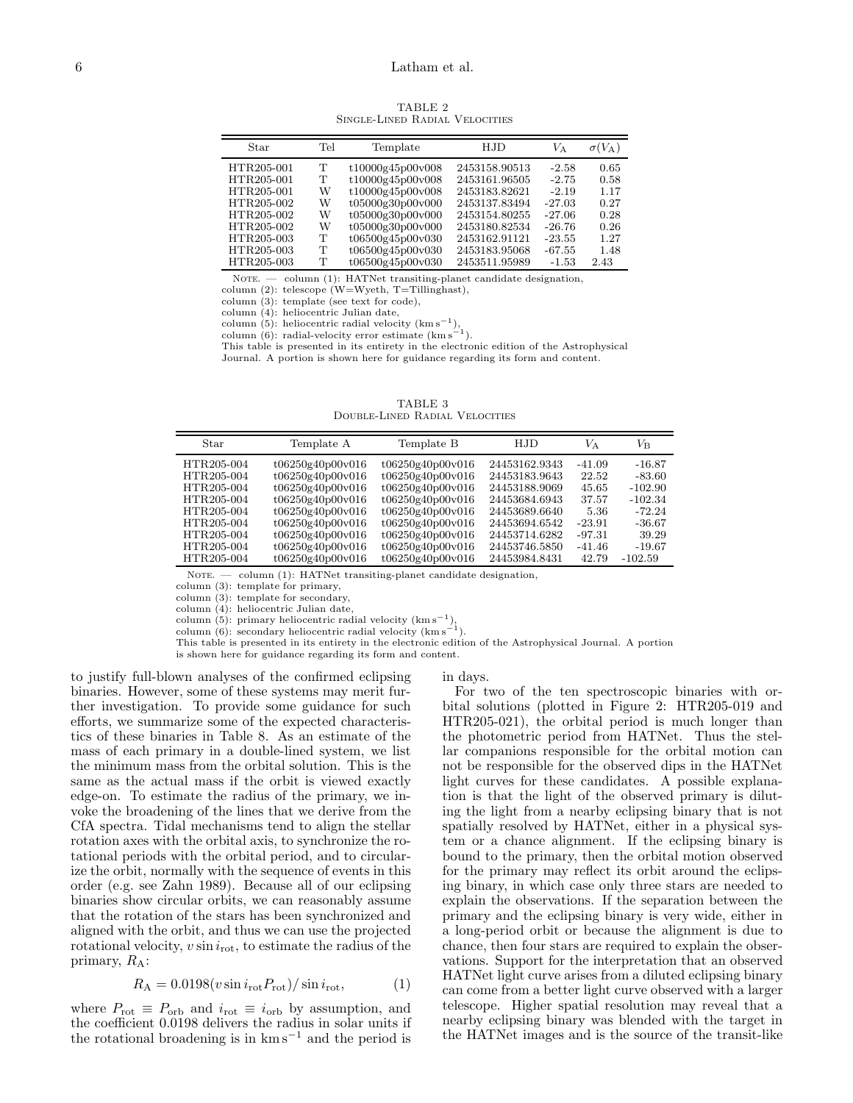TABLE 2 Single-Lined Radial Velocities

| Star       | Tel | Template         | H.JD          | $V_{\rm A}$ | $\sigma(V_{\rm A})$ |
|------------|-----|------------------|---------------|-------------|---------------------|
| HTR205-001 | т   | t10000g45p00v008 | 2453158.90513 | $-2.58$     | 0.65                |
| HTR205-001 | Т   | t10000g45p00v008 | 2453161.96505 | $-2.75$     | 0.58                |
| HTR205-001 | W   | t10000g45p00v008 | 2453183.82621 | $-2.19$     | 1.17                |
| HTR205-002 | W   | t05000g30p00v000 | 2453137.83494 | $-27.03$    | 0.27                |
| HTR205-002 | W   | t05000g30p00v000 | 2453154.80255 | $-27.06$    | 0.28                |
| HTR205-002 | W   | t05000g30p00v000 | 2453180.82534 | $-26.76$    | 0.26                |
| HTR205-003 | т   | t06500g45p00v030 | 2453162.91121 | $-23.55$    | 1.27                |
| HTR205-003 | т   | t06500g45p00v030 | 2453183.95068 | $-67.55$    | 1.48                |
| HTR205-003 | т   | t06500g45p00v030 | 2453511.95989 | $-1.53$     | 2.43                |

NOTE. - column (1): HATNet transiting-planet candidate designation,

column (2): telescope (W=Wyeth, T=Tillinghast),

column (3): template (see text for code), column (4): heliocentric Julian date,

column  $(5)$ : heliocentric radial velocity  $(kms<sup>-1</sup>)$ , column  $(6)$ : radial-velocity error estimate (km s<sup> $-1$ </sup>).

This table is presented in its entirety in the electronic edition of the Astrophysical

Journal. A portion is shown here for guidance regarding its form and content.

TABLE 3 Double-Lined Radial Velocities

| Star                                                                                                         | Template A                                                                                                                                                   | Template B                                                                                                                                                   | H.JD                                                                                                                                 | $V_{\rm A}$                                                                     | $V_{\mathsf{B}}$                                                                            |
|--------------------------------------------------------------------------------------------------------------|--------------------------------------------------------------------------------------------------------------------------------------------------------------|--------------------------------------------------------------------------------------------------------------------------------------------------------------|--------------------------------------------------------------------------------------------------------------------------------------|---------------------------------------------------------------------------------|---------------------------------------------------------------------------------------------|
| HTR205-004<br>HTR205-004<br>HTR205-004<br>HTR205-004<br>HTR205-004<br>HTR205-004<br>HTR205-004<br>HTR205-004 | t06250g40p00v016<br>t06250g40p00v016<br>t06250g40p00v016<br>t06250g40p00v016<br>t06250g40p00v016<br>t06250g40p00v016<br>t06250g40p00v016<br>t06250g40p00v016 | t06250g40p00v016<br>t06250g40p00v016<br>t06250g40p00v016<br>t06250g40p00v016<br>t06250g40p00v016<br>t06250g40p00v016<br>t06250g40p00v016<br>t06250g40p00v016 | 24453162.9343<br>24453183.9643<br>24453188.9069<br>24453684.6943<br>24453689.6640<br>24453694.6542<br>24453714.6282<br>24453746.5850 | $-41.09$<br>22.52<br>45.65<br>37.57<br>5.36<br>$-23.91$<br>$-97.31$<br>$-41.46$ | $-16.87$<br>$-83.60$<br>$-102.90$<br>$-102.34$<br>$-72.24$<br>$-36.67$<br>39.29<br>$-19.67$ |
| HTR205-004                                                                                                   | t06250g40p00v016                                                                                                                                             | t06250g40p00v016                                                                                                                                             | 24453984.8431                                                                                                                        | 42.79                                                                           | $-102.59$                                                                                   |
|                                                                                                              |                                                                                                                                                              |                                                                                                                                                              |                                                                                                                                      |                                                                                 |                                                                                             |

NOTE. - column (1): HATNet transiting-planet candidate designation,

column (3): template for primary,

column (3): template for secondary,

column (4): heliocentric Julian date,

column (5): primary heliocentric radial velocity  $(kms^{-1})$ , column (6): secondary heliocentric radial velocity  $(kms^{-1})$ .

This table is presented in its entirety in the electronic edition of the Astrophysical Journal. A portion

is shown here for guidance regarding its form and content.

to justify full-blown analyses of the confirmed eclipsing binaries. However, some of these systems may merit further investigation. To provide some guidance for such efforts, we summarize some of the expected characteristics of these binaries in Table 8. As an estimate of the mass of each primary in a double-lined system, we list the minimum mass from the orbital solution. This is the same as the actual mass if the orbit is viewed exactly edge-on. To estimate the radius of the primary, we invoke the broadening of the lines that we derive from the CfA spectra. Tidal mechanisms tend to align the stellar rotation axes with the orbital axis, to synchronize the rotational periods with the orbital period, and to circularize the orbit, normally with the sequence of events in this order (e.g. see Zahn 1989). Because all of our eclipsing binaries show circular orbits, we can reasonably assume that the rotation of the stars has been synchronized and aligned with the orbit, and thus we can use the projected rotational velocity,  $v \sin i_{\text{rot}}$ , to estimate the radius of the primary,  $R_A$ :

$$
R_{\rm A} = 0.0198(v\sin i_{\rm rot} P_{\rm rot})/\sin i_{\rm rot},\tag{1}
$$

where  $P_{\text{rot}} \equiv P_{\text{orb}}$  and  $i_{\text{rot}} \equiv i_{\text{orb}}$  by assumption, and the coefficient 0.0198 delivers the radius in solar units if the rotational broadening is in  $km s^{-1}$  and the period is

# in days.

For two of the ten spectroscopic binaries with orbital solutions (plotted in Figure 2: HTR205-019 and HTR205-021), the orbital period is much longer than the photometric period from HATNet. Thus the stellar companions responsible for the orbital motion can not be responsible for the observed dips in the HATNet light curves for these candidates. A possible explanation is that the light of the observed primary is diluting the light from a nearby eclipsing binary that is not spatially resolved by HATNet, either in a physical system or a chance alignment. If the eclipsing binary is bound to the primary, then the orbital motion observed for the primary may reflect its orbit around the eclipsing binary, in which case only three stars are needed to explain the observations. If the separation between the primary and the eclipsing binary is very wide, either in a long-period orbit or because the alignment is due to chance, then four stars are required to explain the observations. Support for the interpretation that an observed HATNet light curve arises from a diluted eclipsing binary can come from a better light curve observed with a larger telescope. Higher spatial resolution may reveal that a nearby eclipsing binary was blended with the target in the HATNet images and is the source of the transit-like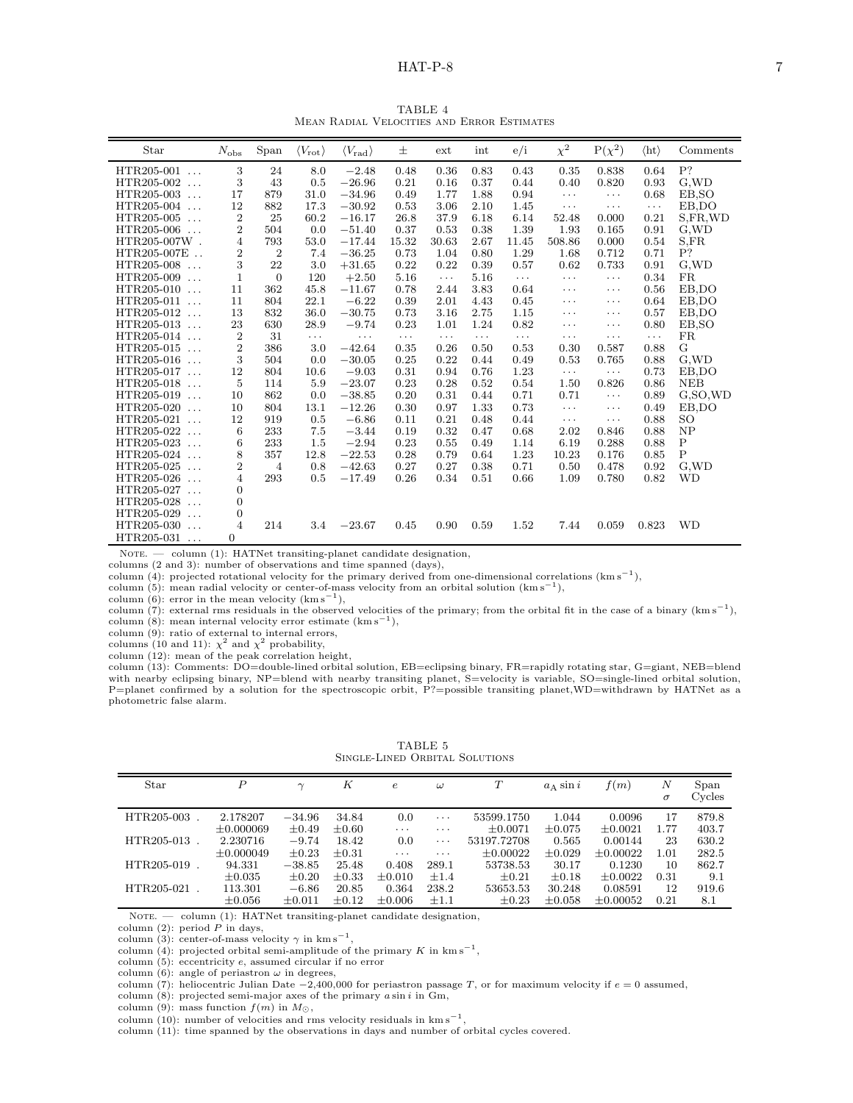## $HAT-P-8$  7

TABLE 4 Mean Radial Velocities and Error Estimates

| Star                          | $N_{\rm obs}$    | $\operatorname{Span}$ | $\langle V_{\rm rot} \rangle$ | $\langle V_{\rm rad}\rangle$ | 士        | $ext{$               | int      | e/i      | $\chi^2$   | $P(\chi^2)$ | $\langle$ ht $\rangle$ | Comments    |
|-------------------------------|------------------|-----------------------|-------------------------------|------------------------------|----------|----------------------|----------|----------|------------|-------------|------------------------|-------------|
| HTR205-001<br>$\ddots$        | 3                | 24                    | 8.0                           | $-2.48$                      | 0.48     | 0.36                 | 0.83     | 0.43     | 0.35       | 0.838       | 0.64                   | P?          |
| HTR205-002<br>$\ddots$        | 3                | 43                    | 0.5                           | $-26.96$                     | 0.21     | 0.16                 | 0.37     | 0.44     | 0.40       | 0.820       | 0.93                   | G.WD        |
| HTR205-003<br>$\ldots$        | 17               | 879                   | 31.0                          | $-34.96$                     | 0.49     | 1.77                 | 1.88     | 0.94     | $\cdots$   | $\cdots$    | 0.68                   | EB, SO      |
| HTR205-004<br>$\ddotsc$       | 12               | 882                   | 17.3                          | $-30.92$                     | 0.53     | 3.06                 | 2.10     | 1.45     | $\cdots$   | $\cdots$    | $\cdots$               | EB,DO       |
| HTR205-005<br>$\ldots$        | $\boldsymbol{2}$ | 25                    | 60.2                          | $-16.17$                     | 26.8     | 37.9                 | 6.18     | 6.14     | 52.48      | 0.000       | 0.21                   | S,FR,WD     |
| HTR205-006<br>$\cdots$        | $\overline{2}$   | 504                   | 0.0                           | $-51.40$                     | 0.37     | 0.53                 | 0.38     | 1.39     | 1.93       | 0.165       | 0.91                   | G, WD       |
| HTR205-007W.                  | $\overline{4}$   | 793                   | 53.0                          | $-17.44$                     | 15.32    | 30.63                | 2.67     | 11.45    | 508.86     | 0.000       | 0.54                   | S.FR        |
| HTR205-007E                   | $\overline{2}$   | $\boldsymbol{2}$      | 7.4                           | $-36.25$                     | 0.73     | 1.04                 | 0.80     | 1.29     | 1.68       | 0.712       | 0.71                   | P?          |
| HTR205-008<br>$\ldots$        | 3                | 22                    | 3.0                           | $+31.65$                     | 0.22     | 0.22                 | 0.39     | 0.57     | 0.62       | 0.733       | 0.91                   | G.WD        |
| HTR205-009<br>$\cdot$ .       | $\mathbf{1}$     | $\overline{0}$        | 120                           | $+2.50$                      | 5.16     | $\sim$ $\sim$ $\sim$ | 5.16     | $\ldots$ | $\ldots$   | $\cdots$    | 0.34                   | <b>FR</b>   |
| HTR205-010<br>$\ldots$        | 11               | 362                   | 45.8                          | $-11.67$                     | 0.78     | 2.44                 | 3.83     | 0.64     | $\cdots$   | $\cdots$    | 0.56                   | EB.DO       |
| HTR205-011<br>$\ldots$        | 11               | 804                   | 22.1                          | $-6.22$                      | 0.39     | 2.01                 | 4.43     | 0.45     | $\cdots$   | $\cdots$    | 0.64                   | EB,DO       |
| HTR205-012<br>$\ddotsc$       | 13               | 832                   | 36.0                          | $-30.75$                     | 0.73     | 3.16                 | 2.75     | 1.15     | $\cdots$   | $\cdots$    | 0.57                   | EB,DO       |
| HTR205-013<br>$\ldots$        | 23               | 630                   | 28.9                          | $-9.74$                      | 0.23     | 1.01                 | 1.24     | 0.82     | $\cdots$   | $\cdots$    | 0.80                   | EB, SO      |
| HTR205-014<br>$\ddots$        | $\overline{2}$   | 31                    | .                             | $\cdots$                     | $\cdots$ | $\cdots$             | $\cdots$ | $\cdots$ | $\cdots$   | $\cdots$    | $\cdots$               | <b>FR</b>   |
| HTR205-015<br>$\cdot$ $\cdot$ | $\overline{2}$   | 386                   | 3.0                           | $-42.64$                     | 0.35     | 0.26                 | 0.50     | 0.53     | 0.30       | 0.587       | 0.88                   | G           |
| HTR205-016<br>$\ldots$        | 3                | 504                   | 0.0                           | $-30.05$                     | 0.25     | 0.22                 | 0.44     | 0.49     | 0.53       | 0.765       | 0.88                   | G.WD        |
| HTR205-017<br>$\cdot$ .       | 12               | 804                   | 10.6                          | $-9.03$                      | 0.31     | 0.94                 | 0.76     | 1.23     | $\ldots$ . | $\cdots$    | 0.73                   | EB,DO       |
| HTR205-018<br>$\cdot$ .       | $\overline{5}$   | 114                   | 5.9                           | $-23.07$                     | 0.23     | 0.28                 | 0.52     | 0.54     | 1.50       | 0.826       | 0.86                   | <b>NEB</b>  |
| HTR205-019<br>$\cdot$ .       | 10               | 862                   | 0.0                           | $-38.85$                     | 0.20     | 0.31                 | 0.44     | 0.71     | 0.71       | $\cdots$    | 0.89                   | G.SO.WD     |
| HTR205-020<br>$\ddots$        | 10               | 804                   | 13.1                          | $-12.26$                     | 0.30     | 0.97                 | 1.33     | 0.73     | .          | $\cdots$    | 0.49                   | EB,DO       |
| HTR205-021<br>$\ddotsc$       | 12               | 919                   | 0.5                           | $-6.86$                      | 0.11     | 0.21                 | 0.48     | 0.44     | $\cdots$   | $\cdots$    | 0.88                   | <b>SO</b>   |
| HTR205-022<br>$\cdot$ .       | 6                | 233                   | 7.5                           | $-3.44$                      | 0.19     | 0.32                 | 0.47     | 0.68     | 2.02       | 0.846       | 0.88                   | NP          |
| HTR205-023<br>$\ldots$        | 6                | 233                   | 1.5                           | $-2.94$                      | 0.23     | 0.55                 | 0.49     | 1.14     | 6.19       | 0.288       | 0.88                   | $\mathbf P$ |
| HTR205-024<br>$\ldots$        | 8                | 357                   | 12.8                          | $-22.53$                     | 0.28     | 0.79                 | 0.64     | 1.23     | 10.23      | 0.176       | 0.85                   | $\mathbf P$ |
| HTR205-025<br>$\ldots$        | $\overline{2}$   | $\overline{4}$        | 0.8                           | $-42.63$                     | 0.27     | 0.27                 | 0.38     | 0.71     | 0.50       | 0.478       | 0.92                   | G,WD        |
| HTR205-026<br>$\ddotsc$       | $\overline{4}$   | 293                   | 0.5                           | $-17.49$                     | 0.26     | 0.34                 | 0.51     | 0.66     | 1.09       | 0.780       | 0.82                   | WD          |
| HTR205-027<br>$\ddots$        | $\overline{0}$   |                       |                               |                              |          |                      |          |          |            |             |                        |             |
| HTR205-028<br>$\ldots$        | $\overline{0}$   |                       |                               |                              |          |                      |          |          |            |             |                        |             |
| HTR205-029<br>$\ddots$        | $\overline{0}$   |                       |                               |                              |          |                      |          |          |            |             |                        |             |
| HTR205-030<br>$\cdots$        | $\overline{4}$   | 214                   | 3.4                           | $-23.67$                     | 0.45     | 0.90                 | 0.59     | 1.52     | 7.44       | 0.059       | 0.823                  | <b>WD</b>   |
| $HTR205-031$                  | $\Omega$         |                       |                               |                              |          |                      |          |          |            |             |                        |             |

NOTE. — column (1): HATNet transiting-planet candidate designation,

columns (2 and 3): number of observations and time spanned (days),

column (4): projected rotational velocity for the primary derived from one-dimensional correlations  $(km s^{-1})$ ,

column (5): mean radial velocity or center-of-mass velocity from an orbital solution  $(kms^{-1})$ ,

column  $(6)$ : error in the mean velocity  $(km s^{-1})$ ,

column (7): external rms residuals in the observed velocities of the primary; from the orbital fit in the case of a binary (km s<sup>-1</sup>),

column  $(8)$ : mean internal velocity error estimate  $(kms^{-1})$ ,

column  $(9)$ : ratio of external to internal errors,

columns (10 and 11):  $\chi^2$  and  $\chi^2$  probability,

column (12): mean of the peak correlation height,

column (13): Comments: DO=double-lined orbital solution, EB=eclipsing binary, FR=rapidly rotating star, G=giant, NEB=blend with nearby eclipsing binary, NP=blend with nearby transiting planet, S=velocity is variable, SO=single-lined orbital solution, P=planet confirmed by a solution for the spectroscopic orbit, P?=possible transiting planet,WD=withdrawn by HATNet as a photometric false alarm.

| Star       | Р              | $\gamma$    | K          | $\epsilon$  | $\omega$  | Т             | $a_A \sin i$ | f(m)          | N<br>$\sigma$ | Span<br>Cycles |
|------------|----------------|-------------|------------|-------------|-----------|---------------|--------------|---------------|---------------|----------------|
| HTR205-003 | 2.178207       | $-34.96$    | 34.84      | 0.0         | $\cdots$  | 53599.1750    | 1.044        | 0.0096        | 17            | 879.8          |
|            | $\pm 0.000069$ | $\pm 0.49$  | $\pm 0.60$ | $\cdots$    | $\cdots$  | $\pm 0.0071$  | $\pm 0.075$  | $+0.0021$     | 1.77          | 403.7          |
| HTR205-013 | 2.230716       | $-9.74$     | 18.42      | 0.0         | $\cdots$  | 53197.72708   | 0.565        | 0.00144       | 23            | 630.2          |
|            | $\pm 0.000049$ | $\pm 0.23$  | $\pm 0.31$ | $\cdots$    | $\cdots$  | $\pm 0.00022$ | $\pm 0.029$  | $+0.00022$    | 1.01          | 282.5          |
| HTR205-019 | 94.331         | $-38.85$    | 25.48      | 0.408       | 289.1     | 53738.53      | 30.17        | 0.1230        | 10            | 862.7          |
|            | $\pm 0.035$    | $\pm 0.20$  | $\pm 0.33$ | $\pm 0.010$ | $\pm 1.4$ | $\pm 0.21$    | $\pm 0.18$   | $\pm 0.0022$  | 0.31          | 9.1            |
| HTR205-021 | 113.301        | $-6.86$     | 20.85      | 0.364       | 238.2     | 53653.53      | 30.248       | 0.08591       | 12            | 919.6          |
|            | $\pm 0.056$    | $\pm 0.011$ | $\pm 0.12$ | $\pm 0.006$ | $\pm 1.1$ | $\pm 0.23$    | $\pm 0.058$  | $\pm 0.00052$ | 0.21          | 8.1            |

TABLE 5 Single-Lined Orbital Solutions

NOTE. - column (1): HATNet transiting-planet candidate designation,

column (2): period P in days,<br>column (3): center-of-mass velocity  $\gamma$  in km s<sup>-1</sup>,

column (4): projected orbital semi-amplitude of the primary K in  $km s^{-1}$ ,

column (5): eccentricity e, assumed circular if no error

column (6): angle of periastron  $\omega$  in degrees,

column (7): heliocentric Julian Date  $-2,400,000$  for periastron passage T, or for maximum velocity if  $e = 0$  assumed,

column  $(8)$ : projected semi-major axes of the primary  $a \sin i$  in  $Gm$ ,

column (9): mass function  $f(m)$  in  $M_{\odot}$ ,

column (10): number of velocities and rms velocity residuals in  $km s^{-1}$ ,

column (11): time spanned by the observations in days and number of orbital cycles covered.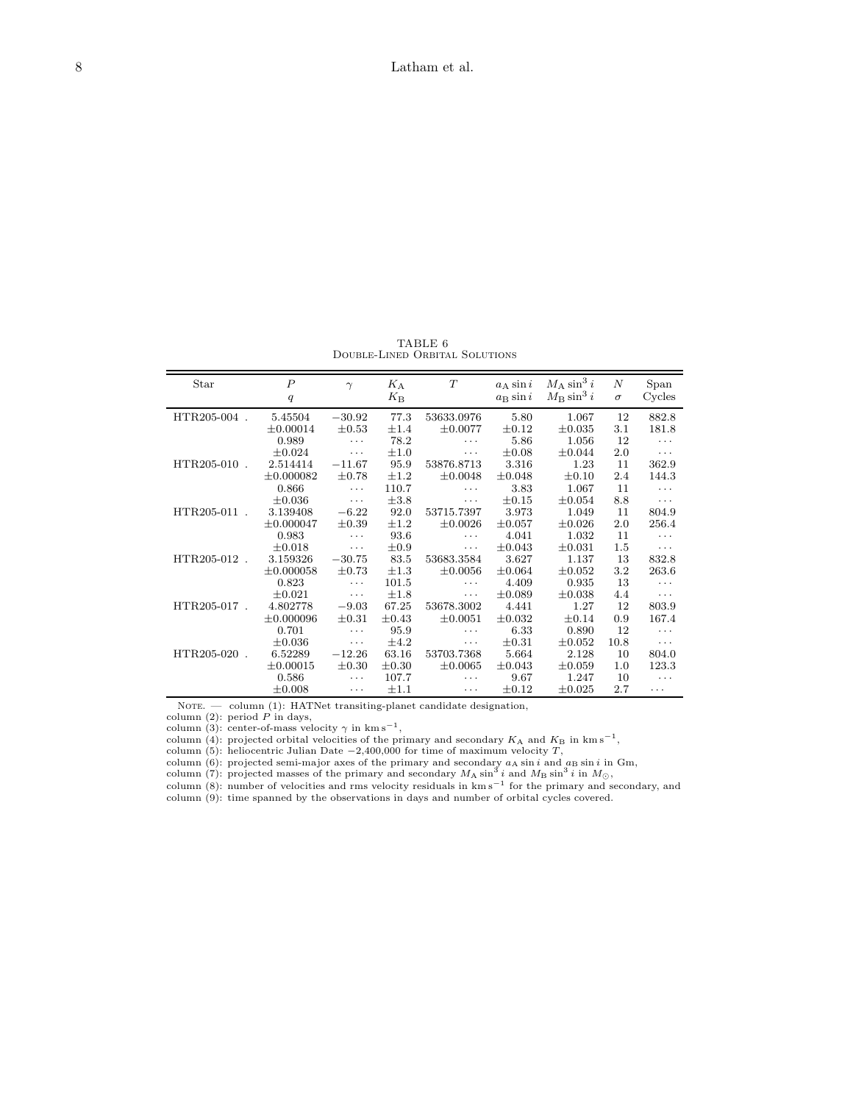TABLE 6 Double-Lined Orbital Solutions

| Star         | $\overline{P}$ | $\gamma$   | $K_A$       | T            | $a_A \sin i$      | $M_A \sin^3 i$<br>$M_{\rm B} \sin^3 i$ | $\boldsymbol{N}$ | Span     |
|--------------|----------------|------------|-------------|--------------|-------------------|----------------------------------------|------------------|----------|
|              | q              |            | $K_{\rm B}$ |              | $a_{\rm B}$ sin i |                                        | $\sigma$         | Cycles   |
| HTR205-004.  | 5.45504        | $-30.92$   | 77.3        | 53633.0976   | 5.80              | 1.067                                  | 12               | 882.8    |
|              | $\pm 0.00014$  | $\pm 0.53$ | $\pm 1.4$   | $\pm 0.0077$ | $\pm 0.12$        | $\pm 0.035$                            | 3.1              | 181.8    |
|              | 0.989          | .          | 78.2        | $\cdots$     | 5.86              | 1.056                                  | 12               | .        |
|              | $\pm 0.024$    | .          | $\pm 1.0$   | $\cdots$     | $\pm 0.08$        | $\pm 0.044$                            | 2.0              | $\cdots$ |
| HTR205-010.  | 2.514414       | $-11.67$   | 95.9        | 53876.8713   | 3.316             | 1.23                                   | 11               | 362.9    |
|              | $\pm 0.000082$ | $\pm 0.78$ | $\pm 1.2$   | $\pm 0.0048$ | $\pm 0.048$       | $\pm 0.10$                             | 2.4              | 144.3    |
|              | 0.866          | .          | 110.7       | $\cdots$     | 3.83              | 1.067                                  | 11               | .        |
|              | $\pm 0.036$    | .          | $\pm 3.8$   | .            | $\pm 0.15$        | $\pm 0.054$                            | 8.8              | $\cdots$ |
| HTR205-011 . | 3.139408       | $-6.22$    | 92.0        | 53715.7397   | 3.973             | 1.049                                  | 11               | 804.9    |
|              | $\pm 0.000047$ | $\pm 0.39$ | $\pm 1.2$   | $\pm 0.0026$ | $\pm 0.057$       | $\pm 0.026$                            | 2.0              | 256.4    |
|              | 0.983          | .          | 93.6        | .            | 4.041             | 1.032                                  | 11               | .        |
|              | $\pm 0.018$    | .          | $\pm 0.9$   | $\cdots$     | $\pm 0.043$       | $\pm 0.031$                            | 1.5              | $\cdots$ |
| HTR205-012.  | 3.159326       | $-30.75$   | 83.5        | 53683.3584   | 3.627             | 1.137                                  | 13               | 832.8    |
|              | $\pm 0.000058$ | $\pm 0.73$ | $\pm 1.3$   | $\pm 0.0056$ | $\pm 0.064$       | $\pm 0.052$                            | $3.2\,$          | 263.6    |
|              | 0.823          | .          | 101.5       | $\cdots$     | 4.409             | 0.935                                  | 13               | .        |
|              | $\pm 0.021$    | .          | $\pm 1.8$   | $\cdots$     | $\pm 0.089$       | $\pm 0.038$                            | 4.4              | $\cdots$ |
| HTR205-017.  | 4.802778       | $-9.03$    | 67.25       | 53678.3002   | 4.441             | 1.27                                   | 12               | 803.9    |
|              | $\pm 0.000096$ | $\pm 0.31$ | $\pm 0.43$  | $\pm 0.0051$ | $\pm 0.032$       | $\pm 0.14$                             | 0.9              | 167.4    |
|              | 0.701          | .          | 95.9        | .            | 6.33              | 0.890                                  | 12               | .        |
|              | $\pm 0.036$    | .          | $\pm 4.2$   | $\cdots$     | $\pm 0.31$        | $\pm 0.052$                            | 10.8             | $\cdots$ |
| HTR205-020.  | 6.52289        | $-12.26$   | 63.16       | 53703.7368   | 5.664             | 2.128                                  | 10               | 804.0    |
|              | $\pm 0.00015$  | $\pm 0.30$ | $\pm 0.30$  | $\pm 0.0065$ | $\pm 0.043$       | $\pm 0.059$                            | 1.0              | 123.3    |
|              | 0.586          | $\ldots$   | 107.7       | .            | 9.67              | 1.247                                  | 10               | $\cdots$ |
|              | $\pm 0.008$    | .          | $\pm 1.1$   | .            | $\pm 0.12$        | $\pm 0.025$                            | 2.7              | .        |

NOTE. - column (1): HATNet transiting-planet candidate designation,

column (2): period P in days,<br>column (3): center-of-mass velocity  $\gamma$  in km s<sup>-1</sup>,<br>column (4): projected orbital velocities of the primary and secondary  $K_A$  and  $K_B$  in km s<sup>-1</sup>,

column (5): heliocentric Julian Date  $-2,400,000$  for time of maximum velocity T,

column (6): projected semi-major axes of the primary and secondary  $a_A \sin i$  and  $a_B \sin i$  in Gm,<br>column (7): projected masses of the primary and secondary  $M_A \sin^3 i$  and  $M_B \sin^3 i$  in  $M_{\odot}$ ,<br>column (8): number of velocities

column (9): time spanned by the observations in days and number of orbital cycles covered.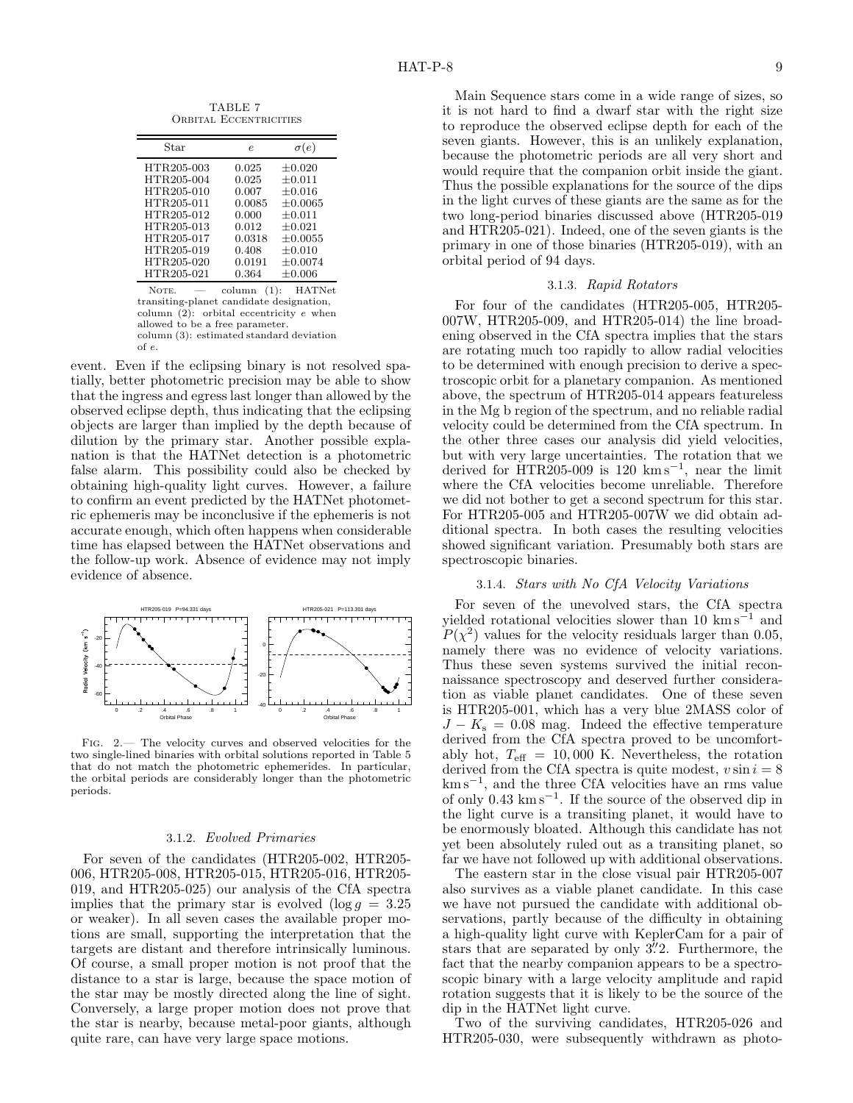TABLE 7 ORBITAL ECCENTRICITIES

| Star                     | e                | $\sigma(e)$                 |
|--------------------------|------------------|-----------------------------|
| HTR205-003               | 0.025            | $\pm 0.020$                 |
| HTR205-004<br>HTR205-010 | 0.025<br>0.007   | $\pm 0.011$<br>$\pm 0.016$  |
| HTR205-011<br>HTR205-012 | 0.0085<br>0.000  | $\pm 0.0065$<br>$+0.011$    |
| HTR205-013<br>HTR205-017 | 0.012<br>0.0318  | $\pm 0.021$<br>$\pm 0.0055$ |
| HTR205-019               | 0.408            | $\pm 0.010$                 |
| HTR205-020<br>HTR205-021 | 0.0191<br>0.364  | $\pm 0.0074$<br>$\pm 0.006$ |
| $\mathbf{v}$             | $\sqrt{a}$<br>п. | <b>TTATTAT</b>              |

NOTE. — column (1): HATNet transiting-planet candidate designation, column  $(2)$ : orbital eccentricity e when allowed to be a free parameter. column (3): estimated standard deviation of e.

event. Even if the eclipsing binary is not resolved spatially, better photometric precision may be able to show that the ingress and egress last longer than allowed by the observed eclipse depth, thus indicating that the eclipsing objects are larger than implied by the depth because of dilution by the primary star. Another possible explanation is that the HATNet detection is a photometric false alarm. This possibility could also be checked by obtaining high-quality light curves. However, a failure to confirm an event predicted by the HATNet photometric ephemeris may be inconclusive if the ephemeris is not accurate enough, which often happens when considerable time has elapsed between the HATNet observations and the follow-up work. Absence of evidence may not imply evidence of absence.



Fig. 2.— The velocity curves and observed velocities for the two single-lined binaries with orbital solutions reported in Table 5 that do not match the photometric ephemerides. In particular, the orbital periods are considerably longer than the photometric periods.

#### 3.1.2. Evolved Primaries

For seven of the candidates (HTR205-002, HTR205- 006, HTR205-008, HTR205-015, HTR205-016, HTR205- 019, and HTR205-025) our analysis of the CfA spectra implies that the primary star is evolved  $(\log q = 3.25$ or weaker). In all seven cases the available proper motions are small, supporting the interpretation that the targets are distant and therefore intrinsically luminous. Of course, a small proper motion is not proof that the distance to a star is large, because the space motion of the star may be mostly directed along the line of sight. Conversely, a large proper motion does not prove that the star is nearby, because metal-poor giants, although quite rare, can have very large space motions.

Main Sequence stars come in a wide range of sizes, so it is not hard to find a dwarf star with the right size to reproduce the observed eclipse depth for each of the seven giants. However, this is an unlikely explanation, because the photometric periods are all very short and would require that the companion orbit inside the giant. Thus the possible explanations for the source of the dips in the light curves of these giants are the same as for the two long-period binaries discussed above (HTR205-019 and HTR205-021). Indeed, one of the seven giants is the primary in one of those binaries (HTR205-019), with an orbital period of 94 days.

### 3.1.3. Rapid Rotators

For four of the candidates (HTR205-005, HTR205- 007W, HTR205-009, and HTR205-014) the line broadening observed in the CfA spectra implies that the stars are rotating much too rapidly to allow radial velocities to be determined with enough precision to derive a spectroscopic orbit for a planetary companion. As mentioned above, the spectrum of HTR205-014 appears featureless in the Mg b region of the spectrum, and no reliable radial velocity could be determined from the CfA spectrum. In the other three cases our analysis did yield velocities, but with very large uncertainties. The rotation that we derived for  $\text{HTR205-009}$  is 120 km s<sup>-1</sup>, near the limit where the CfA velocities become unreliable. Therefore we did not bother to get a second spectrum for this star. For HTR205-005 and HTR205-007W we did obtain additional spectra. In both cases the resulting velocities showed significant variation. Presumably both stars are spectroscopic binaries.

### 3.1.4. Stars with No CfA Velocity Variations

For seven of the unevolved stars, the CfA spectra yielded rotational velocities slower than 10  $\text{km s}^{-1}$  and  $P(\chi^2)$  values for the velocity residuals larger than 0.05, namely there was no evidence of velocity variations. Thus these seven systems survived the initial reconnaissance spectroscopy and deserved further consideration as viable planet candidates. One of these seven is HTR205-001, which has a very blue 2MASS color of  $J - K<sub>s</sub> = 0.08$  mag. Indeed the effective temperature derived from the CfA spectra proved to be uncomfortably hot,  $T_{\text{eff}} = 10,000$  K. Nevertheless, the rotation derived from the CfA spectra is quite modest,  $v \sin i = 8$ km s−<sup>1</sup> , and the three CfA velocities have an rms value of only 0.43 km s−<sup>1</sup> . If the source of the observed dip in the light curve is a transiting planet, it would have to be enormously bloated. Although this candidate has not yet been absolutely ruled out as a transiting planet, so far we have not followed up with additional observations.

The eastern star in the close visual pair HTR205-007 also survives as a viable planet candidate. In this case we have not pursued the candidate with additional observations, partly because of the difficulty in obtaining a high-quality light curve with KeplerCam for a pair of stars that are separated by only  $3\rlap{.}^{\prime\prime}2$ . Furthermore, the fact that the nearby companion appears to be a spectroscopic binary with a large velocity amplitude and rapid rotation suggests that it is likely to be the source of the dip in the HATNet light curve.

Two of the surviving candidates, HTR205-026 and HTR205-030, were subsequently withdrawn as photo-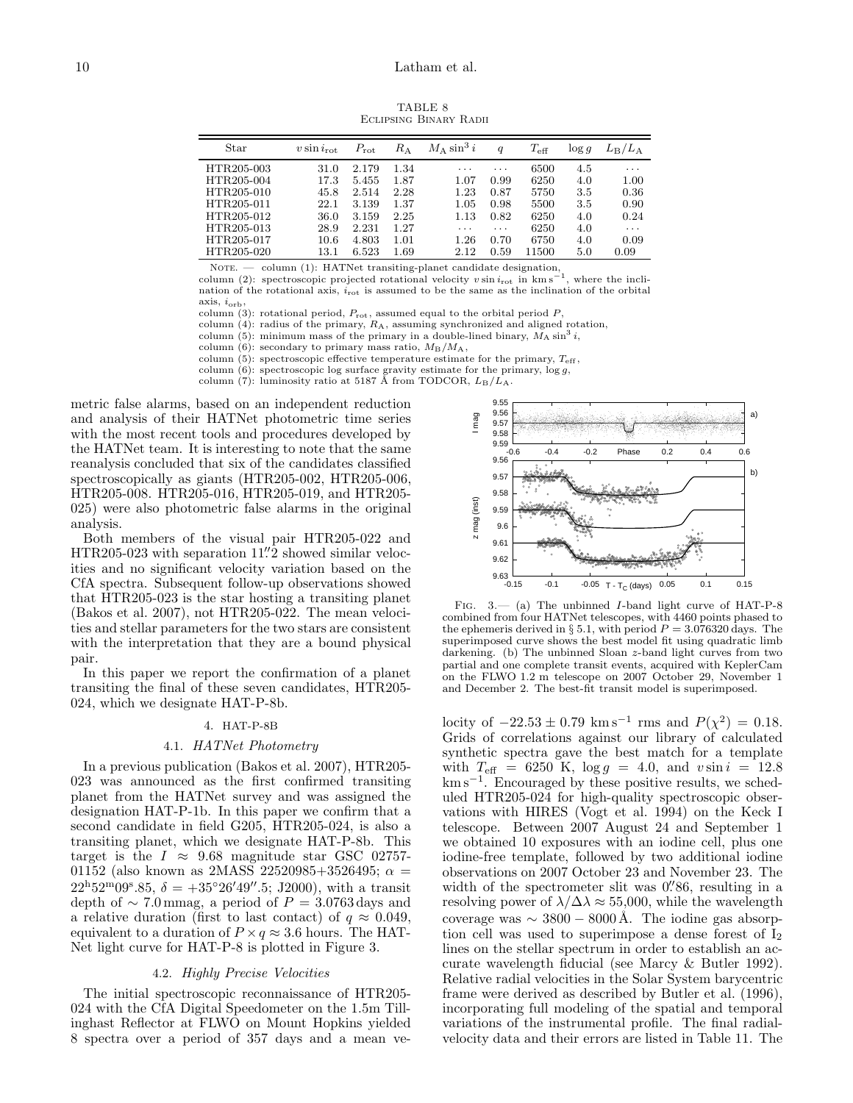TABLE 8 Eclipsing Binary Radii

| Star       | $v \sin i_{\rm rot}$ | $P_{\rm rot}$ | $R_{\rm A}$ | $M_A \sin^3 i$ | q        | $T_{\rm eff}$ | $\log q$ | $L_{\rm B}/L_{\rm A}$ |
|------------|----------------------|---------------|-------------|----------------|----------|---------------|----------|-----------------------|
| HTR205-003 | 31.0                 | 2.179         | 1.34        | $\cdots$       | $\cdots$ | 6500          | 4.5      | $\cdots$              |
| HTR205-004 | 17.3                 | 5.455         | 1.87        | 1.07           | 0.99     | 6250          | 4.0      | 1.00                  |
| HTR205-010 | 45.8                 | 2.514         | 2.28        | 1.23           | 0.87     | 5750          | 3.5      | 0.36                  |
| HTR205-011 | 22.1                 | 3.139         | 1.37        | 1.05           | 0.98     | 5500          | 3.5      | 0.90                  |
| HTR205-012 | 36.0                 | 3.159         | 2.25        | 1.13           | 0.82     | 6250          | 4.0      | 0.24                  |
| HTR205-013 | 28.9                 | 2.231         | 1.27        | $\cdots$       | $\cdots$ | 6250          | 4.0      | $\cdots$              |
| HTR205-017 | 10.6                 | 4.803         | 1.01        | $1.26\,$       | 0.70     | 6750          | 4.0      | 0.09                  |
| HTR205-020 | 13.1                 | 6.523         | 1.69        | 2.12           | 0.59     | 11500         | 5.0      | 0.09                  |

NOTE. — column (1): HATNet transiting-planet candidate designation, column (2): spectroscopic projected rotational velocity v sin  $i_{\text{rot}}$  in km s<sup>−1</sup>

where the inclination of the rotational axis,  $i_{\text{rot}}$  is assumed to be the same as the inclination of the orbital axis, iorb,

column (3): rotational period,  $P_{\text{rot}}$ , assumed equal to the orbital period  $P$ ,

column  $(4)$ : radius of the primary,  $R_A$ , assuming synchronized and aligned rotation,

column (5): minimum mass of the primary in a double-lined binary,  $M_A \sin^3 i$ ,

column (6): secondary to primary mass ratio,  $M_B/M_A$ ,

column  $(5)$ : spectroscopic effective temperature estimate for the primary,  $T_{\text{eff}}$ ,

column (6): spectroscopic log surface gravity estimate for the primary, log g, column (7): luminosity ratio at 5187 Å from TODCOR,  $L_B/L_A$ .

metric false alarms, based on an independent reduction and analysis of their HATNet photometric time series with the most recent tools and procedures developed by the HATNet team. It is interesting to note that the same reanalysis concluded that six of the candidates classified spectroscopically as giants (HTR205-002, HTR205-006, HTR205-008. HTR205-016, HTR205-019, and HTR205- 025) were also photometric false alarms in the original analysis.

Ė

Both members of the visual pair HTR205-022 and HTR205-023 with separation 11.<sup>"</sup> 2 showed similar velocities and no significant velocity variation based on the CfA spectra. Subsequent follow-up observations showed that HTR205-023 is the star hosting a transiting planet (Bakos et al. 2007), not HTR205-022. The mean velocities and stellar parameters for the two stars are consistent with the interpretation that they are a bound physical pair.

In this paper we report the confirmation of a planet transiting the final of these seven candidates, HTR205- 024, which we designate HAT-P-8b.

### 4. HAT-P-8B

#### 4.1. HATNet Photometry

In a previous publication (Bakos et al. 2007), HTR205- 023 was announced as the first confirmed transiting planet from the HATNet survey and was assigned the designation HAT-P-1b. In this paper we confirm that a second candidate in field G205, HTR205-024, is also a transiting planet, which we designate HAT-P-8b. This target is the  $I \approx 9.68$  magnitude star GSC 02757-01152 (also known as 2MASS 22520985+3526495;  $\alpha =$  $22^{\text{h}}52^{\text{m}}09^{\text{s}}.85, \delta = +35^{\circ}26'49''.5; \text{ J2000}$ , with a transit depth of  $\sim$  7.0 mmag, a period of  $P = 3.0763$  days and a relative duration (first to last contact) of  $q \approx 0.049$ , equivalent to a duration of  $P \times q \approx 3.6$  hours. The HAT-Net light curve for HAT-P-8 is plotted in Figure 3.

### 4.2. Highly Precise Velocities

The initial spectroscopic reconnaissance of HTR205- 024 with the CfA Digital Speedometer on the 1.5m Tillinghast Reflector at FLWO on Mount Hopkins yielded 8 spectra over a period of 357 days and a mean ve-



Fig. 3.— (a) The unbinned I-band light curve of HAT-P-8 combined from four HATNet telescopes, with 4460 points phased to the ephemeris derived in § 5.1, with period  $P = 3.076320$  days. The superimposed curve shows the best model fit using quadratic limb darkening. (b) The unbinned Sloan z-band light curves from two partial and one complete transit events, acquired with KeplerCam on the FLWO 1.2 m telescope on 2007 October 29, November 1 and December 2. The best-fit transit model is superimposed.

locity of  $-22.53 \pm 0.79$  km s<sup>-1</sup> rms and  $P(\chi^2) = 0.18$ . Grids of correlations against our library of calculated synthetic spectra gave the best match for a template with  $T_{\text{eff}}$  = 6250 K,  $\log g$  = 4.0, and  $v \sin i = 12.8$ km s−<sup>1</sup> . Encouraged by these positive results, we scheduled HTR205-024 for high-quality spectroscopic observations with HIRES (Vogt et al. 1994) on the Keck I telescope. Between 2007 August 24 and September 1 we obtained 10 exposures with an iodine cell, plus one iodine-free template, followed by two additional iodine observations on 2007 October 23 and November 23. The width of the spectrometer slit was 0.'86, resulting in a resolving power of  $\lambda/\Delta\lambda \approx 55,000$ , while the wavelength coverage was  $\sim 3800 - 8000 \text{ Å}$ . The iodine gas absorption cell was used to superimpose a dense forest of  $I_2$ lines on the stellar spectrum in order to establish an accurate wavelength fiducial (see Marcy & Butler 1992). Relative radial velocities in the Solar System barycentric frame were derived as described by Butler et al. (1996), incorporating full modeling of the spatial and temporal variations of the instrumental profile. The final radialvelocity data and their errors are listed in Table 11. The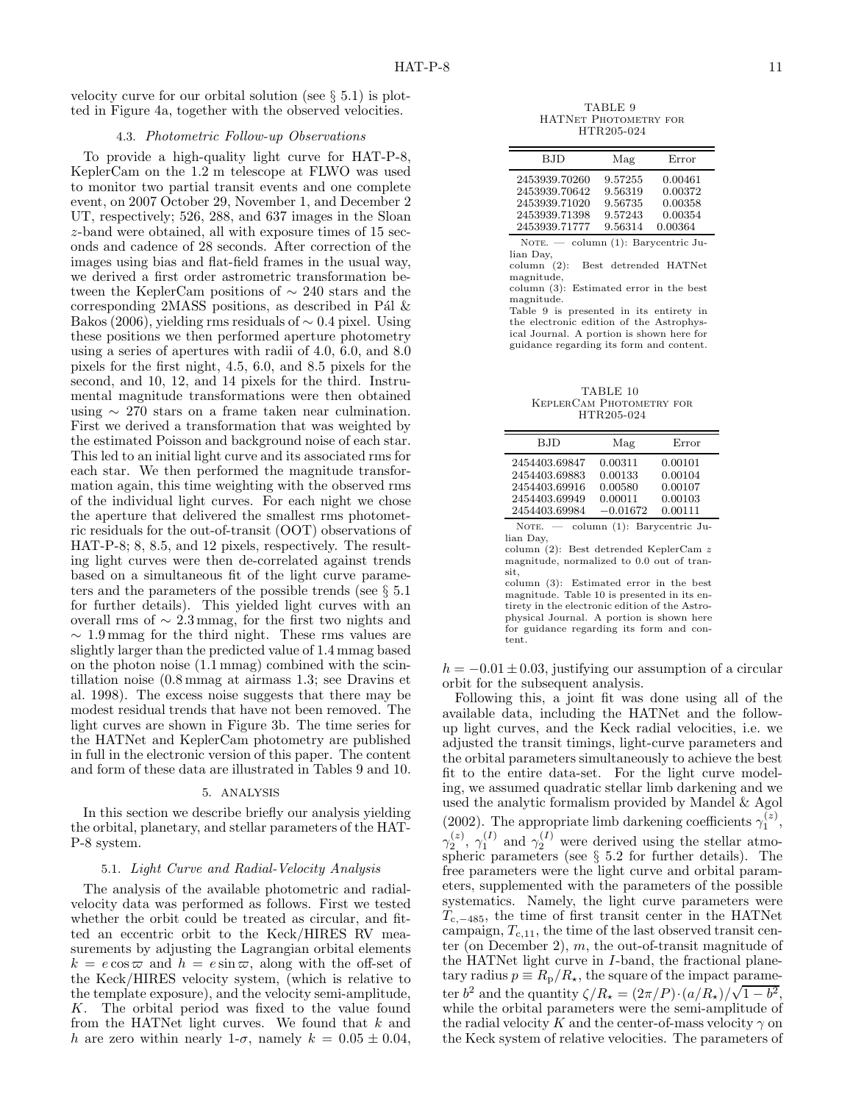velocity curve for our orbital solution (see  $\S 5.1$ ) is plotted in Figure 4a, together with the observed velocities.

### 4.3. Photometric Follow-up Observations

To provide a high-quality light curve for HAT-P-8, KeplerCam on the 1.2 m telescope at FLWO was used to monitor two partial transit events and one complete event, on 2007 October 29, November 1, and December 2 UT, respectively; 526, 288, and 637 images in the Sloan z-band were obtained, all with exposure times of 15 seconds and cadence of 28 seconds. After correction of the images using bias and flat-field frames in the usual way, we derived a first order astrometric transformation between the KeplerCam positions of ∼ 240 stars and the corresponding 2MASS positions, as described in Pál  $\&$ Bakos (2006), yielding rms residuals of ∼ 0.4 pixel. Using these positions we then performed aperture photometry using a series of apertures with radii of 4.0, 6.0, and 8.0 pixels for the first night, 4.5, 6.0, and 8.5 pixels for the second, and 10, 12, and 14 pixels for the third. Instrumental magnitude transformations were then obtained using ∼ 270 stars on a frame taken near culmination. First we derived a transformation that was weighted by the estimated Poisson and background noise of each star. This led to an initial light curve and its associated rms for each star. We then performed the magnitude transformation again, this time weighting with the observed rms of the individual light curves. For each night we chose the aperture that delivered the smallest rms photometric residuals for the out-of-transit (OOT) observations of HAT-P-8; 8, 8.5, and 12 pixels, respectively. The resulting light curves were then de-correlated against trends based on a simultaneous fit of the light curve parameters and the parameters of the possible trends (see § 5.1 for further details). This yielded light curves with an overall rms of ∼ 2.3 mmag, for the first two nights and  $\sim 1.9 \,\mathrm{mmag}$  for the third night. These rms values are slightly larger than the predicted value of 1.4 mmag based on the photon noise (1.1 mmag) combined with the scintillation noise (0.8 mmag at airmass 1.3; see Dravins et al. 1998). The excess noise suggests that there may be modest residual trends that have not been removed. The light curves are shown in Figure 3b. The time series for the HATNet and KeplerCam photometry are published in full in the electronic version of this paper. The content and form of these data are illustrated in Tables 9 and 10.

#### 5. ANALYSIS

In this section we describe briefly our analysis yielding the orbital, planetary, and stellar parameters of the HAT-P-8 system.

### 5.1. Light Curve and Radial-Velocity Analysis

The analysis of the available photometric and radialvelocity data was performed as follows. First we tested whether the orbit could be treated as circular, and fitted an eccentric orbit to the Keck/HIRES RV measurements by adjusting the Lagrangian orbital elements  $k = e \cos \varpi$  and  $h = e \sin \varpi$ , along with the off-set of the Keck/HIRES velocity system, (which is relative to the template exposure), and the velocity semi-amplitude, K. The orbital period was fixed to the value found from the HATNet light curves. We found that  $k$  and h are zero within nearly 1- $\sigma$ , namely  $k = 0.05 \pm 0.04$ ,

TABLE 9 HATNet Photometry for HTR205-024

| BJD.          | Mag     | Error   |
|---------------|---------|---------|
| 2453939.70260 | 9.57255 | 0.00461 |
| 2453939.70642 | 9.56319 | 0.00372 |
| 2453939.71020 | 9.56735 | 0.00358 |
| 2453939.71398 | 9.57243 | 0.00354 |
| 2453939.71777 | 9.56314 | 0.00364 |

NOTE.  $-$  column (1): Barycentric Julian Day,

column (2): Best detrended HATNet magnitude,

column (3): Estimated error in the best magnitude.

Table 9 is presented in its entirety in the electronic edition of the Astrophysical Journal. A portion is shown here for guidance regarding its form and content.

TABLE 10 KeplerCam Photometry for HTR205-024

 $\equiv$ 

| BJD                                                                               | Mag                                                    | Error                                               |
|-----------------------------------------------------------------------------------|--------------------------------------------------------|-----------------------------------------------------|
| 2454403.69847<br>2454403.69883<br>2454403.69916<br>2454403.69949<br>2454403.69984 | 0.00311<br>0.00133<br>0.00580<br>0.00011<br>$-0.01672$ | 0.00101<br>0.00104<br>0.00107<br>0.00103<br>0.00111 |
| NOTE. $-$                                                                         | column (1): Barycentric Ju-                            |                                                     |

lian Day, column (2): Best detrended KeplerCam z magnitude, normalized to 0.0 out of transit,

column (3): Estimated error in the best magnitude. Table 10 is presented in its entirety in the electronic edition of the Astrophysical Journal. A portion is shown here for guidance regarding its form and content.

 $h = -0.01 \pm 0.03$ , justifying our assumption of a circular orbit for the subsequent analysis.

Following this, a joint fit was done using all of the available data, including the HATNet and the followup light curves, and the Keck radial velocities, i.e. we adjusted the transit timings, light-curve parameters and the orbital parameters simultaneously to achieve the best fit to the entire data-set. For the light curve modeling, we assumed quadratic stellar limb darkening and we used the analytic formalism provided by Mandel & Agol (2002). The appropriate limb darkening coefficients  $\gamma_1^{(z)}$ ,  $\gamma_2^{(z)}$ ,  $\gamma_1^{(I)}$  and  $\gamma_2^{(I)}$  were derived using the stellar atmospheric parameters (see  $\S$  5.2 for further details). The free parameters were the light curve and orbital parameters, supplemented with the parameters of the possible systematics. Namely, the light curve parameters were  $T_{c,-485}$ , the time of first transit center in the HATNet campaign,  $T_{c,11}$ , the time of the last observed transit center (on December 2),  $m$ , the out-of-transit magnitude of the HATNet light curve in I-band, the fractional planetary radius  $p \equiv R_{p}/R_{\star}$ , the square of the impact parameter  $b^2$  and the quantity  $\zeta/R_\star = (2\pi/P) \cdot (a/R_\star)/\sqrt{1-b^2}$ , while the orbital parameters were the semi-amplitude of the radial velocity K and the center-of-mass velocity  $\gamma$  on the Keck system of relative velocities. The parameters of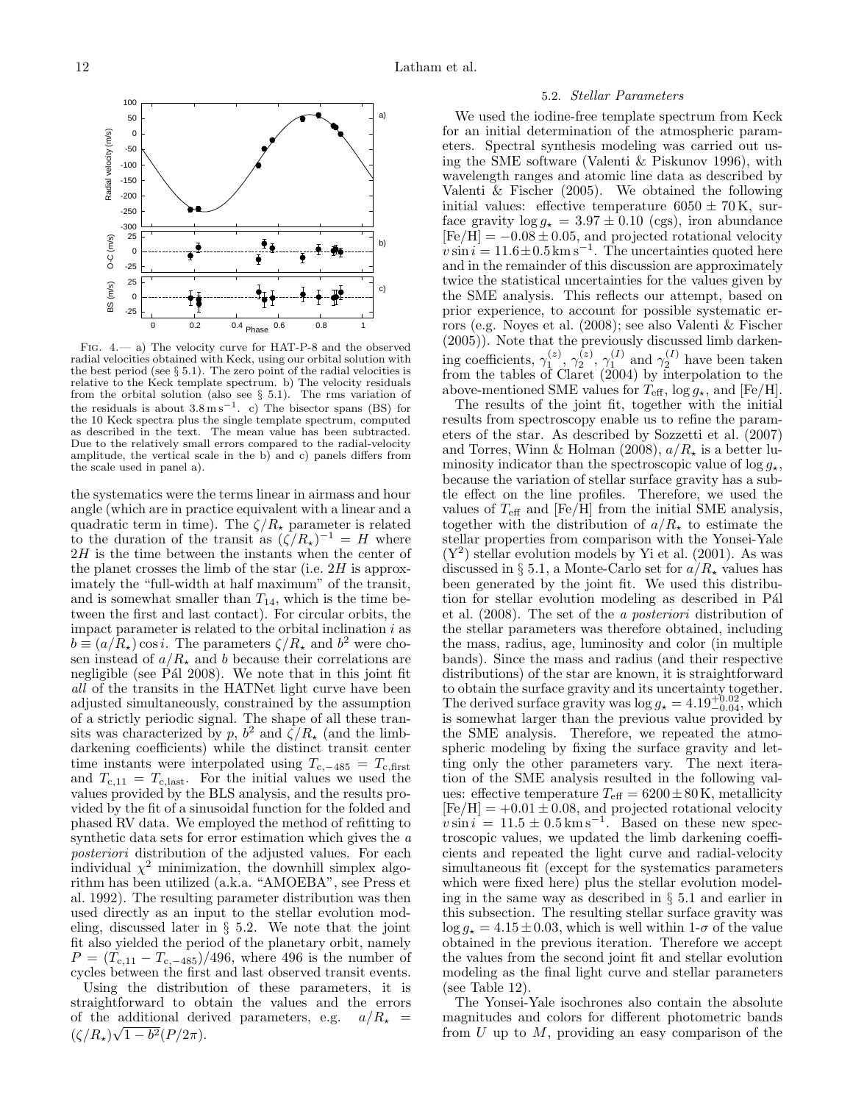

Fig. 4.— a) The velocity curve for HAT-P-8 and the observed radial velocities obtained with Keck, using our orbital solution with the best period (see  $\S 5.1$ ). The zero point of the radial velocities is relative to the Keck template spectrum. b) The velocity residuals from the orbital solution (also see  $\S$  5.1). The rms variation of the residuals is about  $3.8 \text{ m s}^{-1}$ . c) The bisector spans (BS) for the 10 Keck spectra plus the single template spectrum, computed as described in the text. The mean value has been subtracted. Due to the relatively small errors compared to the radial-velocity amplitude, the vertical scale in the b) and c) panels differs from the scale used in panel a).

the systematics were the terms linear in airmass and hour angle (which are in practice equivalent with a linear and a quadratic term in time). The  $\zeta/R_{\star}$  parameter is related to the duration of the transit as  $(\zeta/R_{\star})^{-1} = H$  where 2H is the time between the instants when the center of the planet crosses the limb of the star (i.e.  $2H$  is approximately the "full-width at half maximum" of the transit, and is somewhat smaller than  $T_{14}$ , which is the time between the first and last contact). For circular orbits, the impact parameter is related to the orbital inclination  $i$  as  $b \equiv (a/R_{\star}) \cos i$ . The parameters  $\zeta/R_{\star}$  and  $b^2$  were chosen instead of  $a/R_{\star}$  and b because their correlations are negligible (see P<sup>{a}</sup> 2008). We note that in this joint fit all of the transits in the HATNet light curve have been adjusted simultaneously, constrained by the assumption of a strictly periodic signal. The shape of all these transits was characterized by p,  $b^2$  and  $\zeta/R_{\star}$  (and the limbdarkening coefficients) while the distinct transit center time instants were interpolated using  $T_{c,-485} = T_{c,\text{first}}$ and  $T_{c,11} = T_{c,\text{last}}$ . For the initial values we used the values provided by the BLS analysis, and the results provided by the fit of a sinusoidal function for the folded and phased RV data. We employed the method of refitting to synthetic data sets for error estimation which gives the a posteriori distribution of the adjusted values. For each individual  $\chi^2$  minimization, the downhill simplex algorithm has been utilized (a.k.a. "AMOEBA", see Press et al. 1992). The resulting parameter distribution was then used directly as an input to the stellar evolution modeling, discussed later in § 5.2. We note that the joint fit also yielded the period of the planetary orbit, namely  $P = (T_{c,11} - T_{c,-485})/496$ , where 496 is the number of cycles between the first and last observed transit events.

Using the distribution of these parameters, it is straightforward to obtain the values and the errors of the additional derived parameters, e.g.  $a/R_{\star}$  =  $(\zeta/R_\star)\sqrt{1-b^2}(P/2\pi).$ 

# 5.2. Stellar Parameters

We used the iodine-free template spectrum from Keck for an initial determination of the atmospheric parameters. Spectral synthesis modeling was carried out using the SME software (Valenti & Piskunov 1996), with wavelength ranges and atomic line data as described by Valenti & Fischer (2005). We obtained the following initial values: effective temperature  $6050 \pm 70$  K, surface gravity  $\log g_{\star} = 3.97 \pm 0.10$  (cgs), iron abundance  $[Fe/H] = -0.08 \pm 0.05$ , and projected rotational velocity  $v \sin i = 11.6 \pm 0.5 \,\mathrm{km\,s}^{-1}$ . The uncertainties quoted here and in the remainder of this discussion are approximately twice the statistical uncertainties for the values given by the SME analysis. This reflects our attempt, based on prior experience, to account for possible systematic errors (e.g. Noyes et al. (2008); see also Valenti & Fischer (2005)). Note that the previously discussed limb darkening coefficients,  $\gamma_1^{(z)}, \gamma_2^{(z)}, \gamma_1^{(I)}$  and  $\gamma_2^{(I)}$  have been taken from the tables of Claret (2004) by interpolation to the above-mentioned SME values for  $T_{\text{eff}}$ ,  $\log g_{\star}$ , and [Fe/H].

The results of the joint fit, together with the initial results from spectroscopy enable us to refine the parameters of the star. As described by Sozzetti et al. (2007) and Torres, Winn & Holman (2008),  $a/R_{\star}$  is a better luminosity indicator than the spectroscopic value of  $\log g_{\star}$ , because the variation of stellar surface gravity has a subtle effect on the line profiles. Therefore, we used the values of  $T_{\text{eff}}$  and [Fe/H] from the initial SME analysis, together with the distribution of  $a/R_{\star}$  to estimate the stellar properties from comparison with the Yonsei-Yale  $(Y^2)$  stellar evolution models by Yi et al. (2001). As was discussed in § 5.1, a Monte-Carlo set for  $a/R_{\star}$  values has been generated by the joint fit. We used this distribution for stellar evolution modeling as described in Pál et al. (2008). The set of the a posteriori distribution of the stellar parameters was therefore obtained, including the mass, radius, age, luminosity and color (in multiple bands). Since the mass and radius (and their respective distributions) of the star are known, it is straightforward to obtain the surface gravity and its uncertainty together. The derived surface gravity was  $\log g_{\star} = 4.19_{-0.04}^{+0.02}$ , which is somewhat larger than the previous value provided by the SME analysis. Therefore, we repeated the atmospheric modeling by fixing the surface gravity and letting only the other parameters vary. The next iteration of the SME analysis resulted in the following values: effective temperature  $T_{\text{eff}} = 6200 \pm 80 \,\text{K}$ , metallicity  $\mathrm{[Fe/H]} = +0.01 \pm 0.08,$  and projected rotational velocity  $v \sin i = 11.5 \pm 0.5 \,\mathrm{km \, s^{-1}}$ . Based on these new spectroscopic values, we updated the limb darkening coefficients and repeated the light curve and radial-velocity simultaneous fit (except for the systematics parameters which were fixed here) plus the stellar evolution modeling in the same way as described in § 5.1 and earlier in this subsection. The resulting stellar surface gravity was  $\log g_{\star} = 4.15 \pm 0.03$ , which is well within  $1-\sigma$  of the value obtained in the previous iteration. Therefore we accept the values from the second joint fit and stellar evolution modeling as the final light curve and stellar parameters (see Table 12).

The Yonsei-Yale isochrones also contain the absolute magnitudes and colors for different photometric bands from  $U$  up to  $M$ , providing an easy comparison of the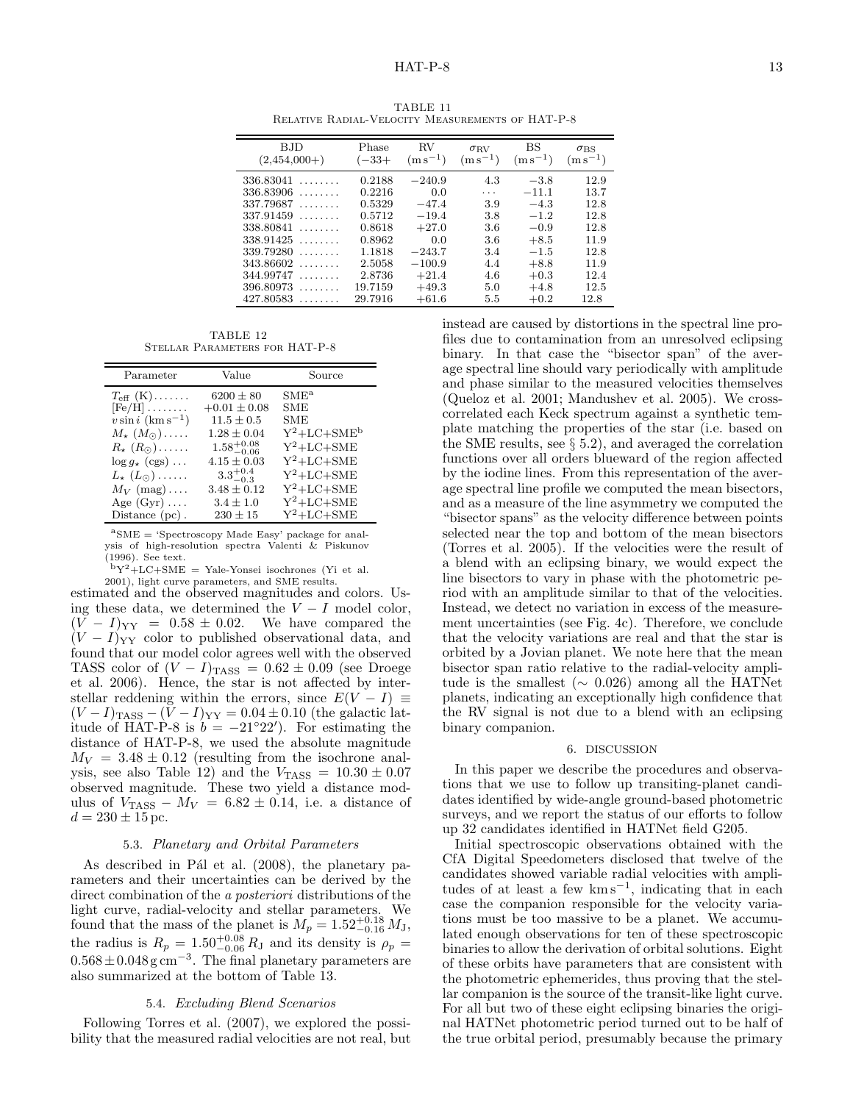| BJD<br>$(2,454,000+)$                                                | Phase<br>$(-33+)$                      | $\rm RV$<br>$(m s^{-1})$                  | $\sigma_{\rm RV}$<br>$(m s^{-1})$ | BS<br>$(m s^{-1})$                    | $\sigma_{\rm BS}$<br>$(m s^{-1})$ |
|----------------------------------------------------------------------|----------------------------------------|-------------------------------------------|-----------------------------------|---------------------------------------|-----------------------------------|
| 336.83041<br>.<br>336.83906<br>.<br>337.79687<br>.<br>337.91459<br>. | 0.2188<br>0.2216<br>0.5329<br>0.5712   | $-240.9$<br>0.0<br>$-47.4$<br>$-19.4$     | 4.3<br>.<br>3.9<br>3.8            | $-3.8$<br>$-11.1$<br>$-4.3$<br>$-1.2$ | 12.9<br>13.7<br>12.8<br>12.8      |
| 338.80841<br>.<br>338.91425<br>.<br>339.79280<br>.                   | 0.8618<br>0.8962<br>1.1818             | $+27.0$<br>0.0<br>$-243.7$                | 3.6<br>3.6<br>3.4                 | $-0.9$<br>$+8.5$<br>$-1.5$            | 12.8<br>11.9<br>12.8              |
| 343.86602<br>.<br>344.99747<br>.<br>396.80973<br>.<br>427.80583<br>. | 2.5058<br>2.8736<br>19.7159<br>29.7916 | $-100.9$<br>$+21.4$<br>$+49.3$<br>$+61.6$ | 4.4<br>4.6<br>5.0<br>5.5          | $+8.8$<br>$+0.3$<br>$+4.8$<br>$+0.2$  | 11.9<br>12.4<br>12.5<br>12.8      |

TABLE 11 Relative Radial-Velocity Measurements of HAT-P-8

TABLE 12 Stellar Parameters for HAT-P-8

| Parameter                        | Value                  | Source         |
|----------------------------------|------------------------|----------------|
| $T_{\text{eff}}(K) \dots \dots$  | $6200 \pm 80$          | $\rm SME^{a}$  |
| $[Fe/H]$                         | $+0.01 \pm 0.08$       | SME            |
| $v \sin i \, (\text{km s}^{-1})$ | $11.5 \pm 0.5$         | SME            |
| $M_{\star}(M_{\odot})\ldots$ .   | $1.28 \pm 0.04$        | $Y^2+LC+SME^b$ |
| $R_{\star}$ $(R_{\odot})$        | $1.58^{+0.08}_{-0.06}$ | $Y^2+LC+SME$   |
| $\log q_{\star}$ (cgs)           | $4.15 \pm 0.03$        | $Y^2+LC+SME$   |
| $L_{\star}$ $(L_{\odot})$        | $3.3^{+0.4}_{-0.3}$    | $Y^2+LC+SME$   |
| $M_V$ (mag)                      | $3.48 \pm 0.12$        | $Y^2+LC+SME$   |
| Age $(Gyr) \ldots$               | $3.4 \pm 1.0$          | $Y^2+LC+SME$   |
| Distance $(pc)$ .                | $230 \pm 15$           | $Y^2+LC+SME$   |

 ${}^{a}$ SME = 'Spectroscopy Made Easy' package for analysis of high-resolution spectra Valenti & Piskunov (1996). See text.

 ${}^{b}Y^{2}+LC+SME = Yale-Yonsei$  isochrones (Yi et al.

2001), light curve parameters, and SME results. estimated and the observed magnitudes and colors. Using these data, we determined the  $V - I$  model color,  $(V - I)_{YY} = 0.58 \pm 0.02$ . We have compared the  $(V-I)_{YY}$  color to published observational data, and found that our model color agrees well with the observed TASS color of  $(V - I)_{TASS} = 0.62 \pm 0.09$  (see Droege et al. 2006). Hence, the star is not affected by interstellar reddening within the errors, since  $E(V-I) \equiv$  $(V-I)_{\text{TASS}} - (V-I)_{\text{YY}} = 0.04 \pm 0.10$  (the galactic latitude of HAT-P-8 is  $b = -21°22'$ . For estimating the distance of HAT-P-8, we used the absolute magnitude  $M_V = 3.48 \pm 0.12$  (resulting from the isochrone analysis, see also Table 12) and the  $V_{\text{TASS}} = 10.30 \pm 0.07$ observed magnitude. These two yield a distance modulus of  $V_{\text{TASS}} - M_V = 6.82 \pm 0.14$ , i.e. a distance of  $d = 230 \pm 15$  pc.

#### 5.3. Planetary and Orbital Parameters

As described in Pál et al.  $(2008)$ , the planetary parameters and their uncertainties can be derived by the direct combination of the *a posteriori* distributions of the light curve, radial-velocity and stellar parameters. We found that the mass of the planet is  $M_p = 1.52^{+0.18}_{-0.16} M_J$ , the radius is  $R_p = 1.50^{+0.08}_{-0.06} R_J$  and its density is  $\rho_p =$  $0.568 \pm 0.048$  g cm<sup>-3</sup>. The final planetary parameters are also summarized at the bottom of Table 13.

## 5.4. Excluding Blend Scenarios

Following Torres et al. (2007), we explored the possibility that the measured radial velocities are not real, but

instead are caused by distortions in the spectral line profiles due to contamination from an unresolved eclipsing binary. In that case the "bisector span" of the average spectral line should vary periodically with amplitude and phase similar to the measured velocities themselves (Queloz et al. 2001; Mandushev et al. 2005). We crosscorrelated each Keck spectrum against a synthetic template matching the properties of the star (i.e. based on the SME results, see  $\S 5.2$ , and averaged the correlation functions over all orders blueward of the region affected by the iodine lines. From this representation of the average spectral line profile we computed the mean bisectors, and as a measure of the line asymmetry we computed the "bisector spans" as the velocity difference between points selected near the top and bottom of the mean bisectors (Torres et al. 2005). If the velocities were the result of a blend with an eclipsing binary, we would expect the line bisectors to vary in phase with the photometric period with an amplitude similar to that of the velocities. Instead, we detect no variation in excess of the measurement uncertainties (see Fig. 4c). Therefore, we conclude that the velocity variations are real and that the star is orbited by a Jovian planet. We note here that the mean bisector span ratio relative to the radial-velocity amplitude is the smallest ( $\sim$  0.026) among all the HATNet planets, indicating an exceptionally high confidence that the RV signal is not due to a blend with an eclipsing binary companion.

#### 6. DISCUSSION

In this paper we describe the procedures and observations that we use to follow up transiting-planet candidates identified by wide-angle ground-based photometric surveys, and we report the status of our efforts to follow up 32 candidates identified in HATNet field G205.

Initial spectroscopic observations obtained with the CfA Digital Speedometers disclosed that twelve of the candidates showed variable radial velocities with amplitudes of at least a few km s−<sup>1</sup> , indicating that in each case the companion responsible for the velocity variations must be too massive to be a planet. We accumulated enough observations for ten of these spectroscopic binaries to allow the derivation of orbital solutions. Eight of these orbits have parameters that are consistent with the photometric ephemerides, thus proving that the stellar companion is the source of the transit-like light curve. For all but two of these eight eclipsing binaries the original HATNet photometric period turned out to be half of the true orbital period, presumably because the primary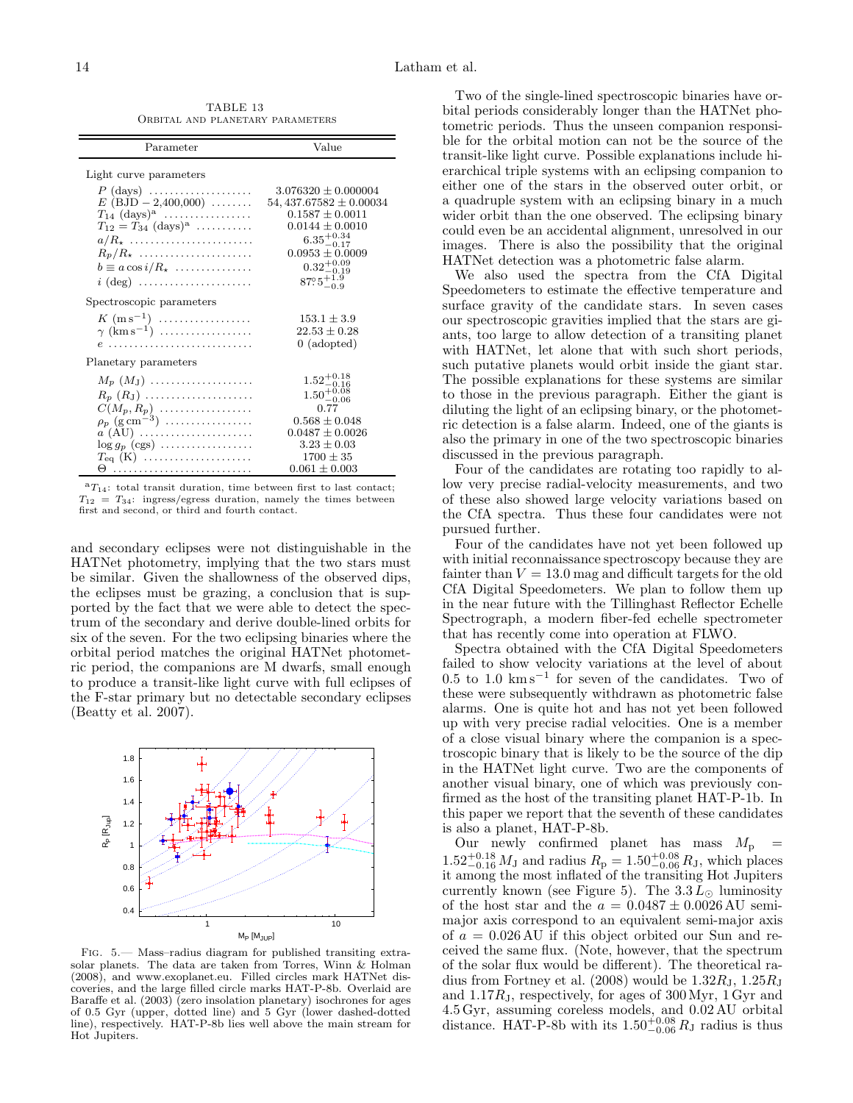TABLE 13 Orbital and planetary parameters

| Parameter                                                                                                                                                                                                                                           | Value                                                                                                                                                                                                        |
|-----------------------------------------------------------------------------------------------------------------------------------------------------------------------------------------------------------------------------------------------------|--------------------------------------------------------------------------------------------------------------------------------------------------------------------------------------------------------------|
| Light curve parameters<br>$P$ (days)<br>$E$ (BJD $- 2,400,000$ )<br>$T_{14}$ (days) <sup>a</sup><br>$T_{12} = T_{34}$ (days) <sup>a</sup><br>$a/R_{\star}$<br>$R_p/R_{\star}$<br>$b \equiv a \cos i/R_{\star} \dots \dots \dots \dots$<br>$i$ (deg) | $3.076320 \pm 0.000004$<br>$54,437.67582 \pm 0.00034$<br>$0.1587 \pm 0.0011$<br>$0.0144 \pm 0.0010$<br>$6.35_{-0.17}^{+0.34}$<br>$0.0953 \pm 0.0009$<br>$0.32^{+0.09}_{-0.19}$<br>$87^\circ 5^{+1.9}_{-0.9}$ |
| Spectroscopic parameters                                                                                                                                                                                                                            |                                                                                                                                                                                                              |
| $K \, (\text{m s}^{-1}) \, \ldots \ldots \ldots \ldots$<br>$\gamma$ (km s <sup>-1</sup> )                                                                                                                                                           | $153.1 \pm 3.9$<br>$22.53 \pm 0.28$<br>$0$ (adopted)                                                                                                                                                         |
| Planetary parameters                                                                                                                                                                                                                                |                                                                                                                                                                                                              |
| $M_p(M_{\rm J})$<br>$R_p(R_J)$<br>$C(M_p, R_p)$<br>$\rho_p$ (g cm <sup>-3</sup> )<br>$a$ (AU)<br>$\log g_p$ (cgs)                                                                                                                                   | $\substack{1.52_{-0.16}^{+0.18} \\ 1.50_{-0.08}^{+0.08}}$<br>0.77<br>$0.568 \pm 0.048$<br>$0.0487 \pm 0.0026$<br>$3.23 \pm 0.03$                                                                             |
| $T_{eq}$ (K)                                                                                                                                                                                                                                        | $1700 \pm 35$<br>$0.061 \pm 0.003$                                                                                                                                                                           |

 ${}^aT_{14}$ : total transit duration, time between first to last contact;  $T_{12} = T_{34}$ : ingress/egress duration, namely the times between first and second, or third and fourth contact.

and secondary eclipses were not distinguishable in the HATNet photometry, implying that the two stars must be similar. Given the shallowness of the observed dips, the eclipses must be grazing, a conclusion that is supported by the fact that we were able to detect the spectrum of the secondary and derive double-lined orbits for six of the seven. For the two eclipsing binaries where the orbital period matches the original HATNet photometric period, the companions are M dwarfs, small enough to produce a transit-like light curve with full eclipses of the F-star primary but no detectable secondary eclipses (Beatty et al. 2007).



Fig. 5.— Mass–radius diagram for published transiting extrasolar planets. The data are taken from Torres, Winn & Holman (2008), and www.exoplanet.eu. Filled circles mark HATNet discoveries, and the large filled circle marks HAT-P-8b. Overlaid are Baraffe et al. (2003) (zero insolation planetary) isochrones for ages of 0.5 Gyr (upper, dotted line) and 5 Gyr (lower dashed-dotted line), respectively. HAT-P-8b lies well above the main stream for Hot Jupiters.

Two of the single-lined spectroscopic binaries have orbital periods considerably longer than the HATNet photometric periods. Thus the unseen companion responsible for the orbital motion can not be the source of the transit-like light curve. Possible explanations include hierarchical triple systems with an eclipsing companion to either one of the stars in the observed outer orbit, or a quadruple system with an eclipsing binary in a much wider orbit than the one observed. The eclipsing binary could even be an accidental alignment, unresolved in our images. There is also the possibility that the original HATNet detection was a photometric false alarm.

We also used the spectra from the CfA Digital Speedometers to estimate the effective temperature and surface gravity of the candidate stars. In seven cases our spectroscopic gravities implied that the stars are giants, too large to allow detection of a transiting planet with HATNet, let alone that with such short periods, such putative planets would orbit inside the giant star. The possible explanations for these systems are similar to those in the previous paragraph. Either the giant is diluting the light of an eclipsing binary, or the photometric detection is a false alarm. Indeed, one of the giants is also the primary in one of the two spectroscopic binaries discussed in the previous paragraph.

Four of the candidates are rotating too rapidly to allow very precise radial-velocity measurements, and two of these also showed large velocity variations based on the CfA spectra. Thus these four candidates were not pursued further.

Four of the candidates have not yet been followed up with initial reconnaissance spectroscopy because they are fainter than  $V = 13.0$  mag and difficult targets for the old CfA Digital Speedometers. We plan to follow them up in the near future with the Tillinghast Reflector Echelle Spectrograph, a modern fiber-fed echelle spectrometer that has recently come into operation at FLWO.

Spectra obtained with the CfA Digital Speedometers failed to show velocity variations at the level of about 0.5 to 1.0 km s<sup>−</sup><sup>1</sup> for seven of the candidates. Two of these were subsequently withdrawn as photometric false alarms. One is quite hot and has not yet been followed up with very precise radial velocities. One is a member of a close visual binary where the companion is a spectroscopic binary that is likely to be the source of the dip in the HATNet light curve. Two are the components of another visual binary, one of which was previously confirmed as the host of the transiting planet HAT-P-1b. In this paper we report that the seventh of these candidates is also a planet, HAT-P-8b.

Our newly confirmed planet has mass  $M_{\rm p}$  =  $1.52_{-0.16}^{+0.18} M_{\text{J}}$  and radius  $R_{\text{p}} = 1.50_{-0.06}^{+0.08} R_{\text{J}}$ , which places it among the most inflated of the transiting Hot Jupiters currently known (see Figure 5). The  $3.3 L_{\odot}$  luminosity of the host star and the  $a = 0.0487 \pm 0.0026$  AU semimajor axis correspond to an equivalent semi-major axis of  $a = 0.026 \text{ AU}$  if this object orbited our Sun and received the same flux. (Note, however, that the spectrum of the solar flux would be different). The theoretical radius from Fortney et al.  $(2008)$  would be  $1.32R_J$ ,  $1.25R_J$ and  $1.17R<sub>J</sub>$ , respectively, for ages of  $300 \,\mathrm{Myr}$ ,  $1 \,\mathrm{Gyr}$  and 4.5 Gyr, assuming coreless models, and 0.02 AU orbital distance. HAT-P-8b with its  $1.50^{+0.08}_{-0.06} R_{\text{J}}$  radius is thus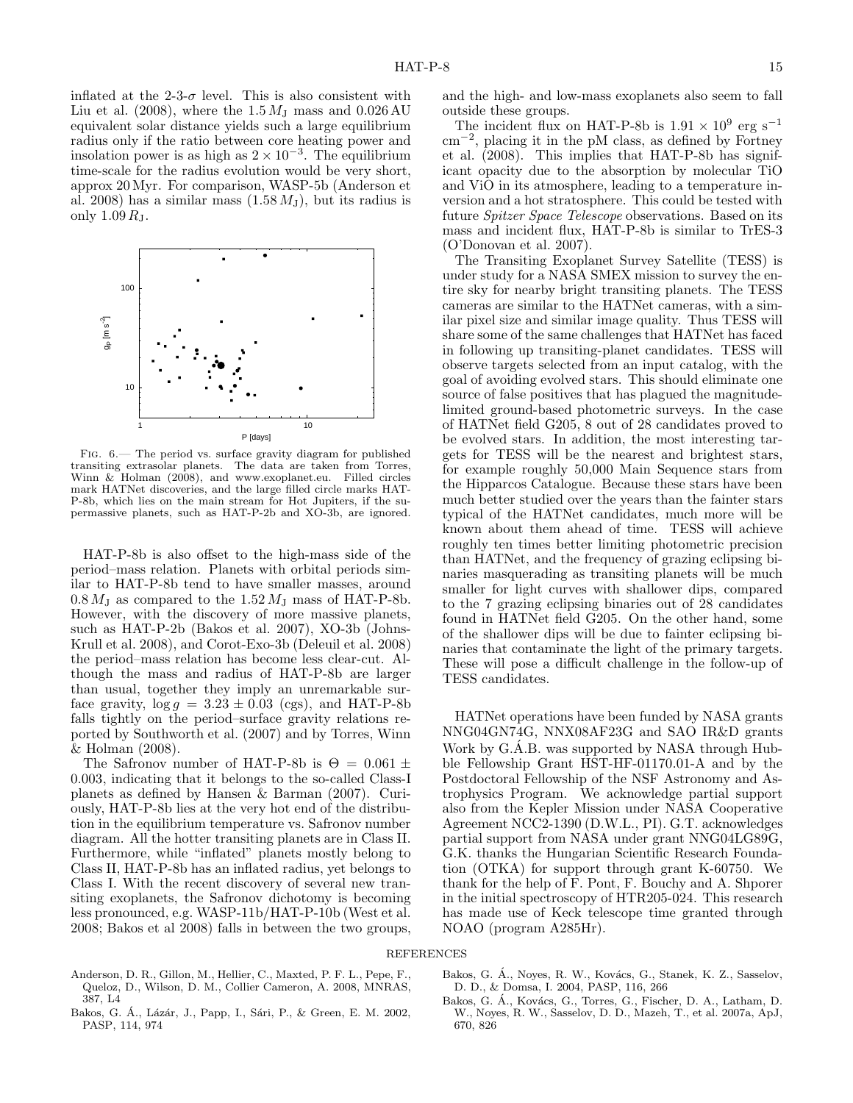inflated at the 2-3- $\sigma$  level. This is also consistent with Liu et al. (2008), where the  $1.5 M<sub>J</sub>$  mass and  $0.026 \text{ AU}$ equivalent solar distance yields such a large equilibrium radius only if the ratio between core heating power and insolation power is as high as  $2 \times 10^{-3}$ . The equilibrium time-scale for the radius evolution would be very short, approx 20 Myr. For comparison, WASP-5b (Anderson et al. 2008) has a similar mass  $(1.58 M_{\rm J})$ , but its radius is only  $1.09 R<sub>J</sub>$ .



Fig. 6.— The period vs. surface gravity diagram for published transiting extrasolar planets. The data are taken from Torres, Winn & Holman (2008), and www.exoplanet.eu. Filled circles mark HATNet discoveries, and the large filled circle marks HAT-P-8b, which lies on the main stream for Hot Jupiters, if the supermassive planets, such as HAT-P-2b and XO-3b, are ignored.

HAT-P-8b is also offset to the high-mass side of the period–mass relation. Planets with orbital periods similar to HAT-P-8b tend to have smaller masses, around  $0.8 M<sub>J</sub>$  as compared to the  $1.52 M<sub>J</sub>$  mass of HAT-P-8b. However, with the discovery of more massive planets, such as HAT-P-2b (Bakos et al. 2007), XO-3b (Johns-Krull et al. 2008), and Corot-Exo-3b (Deleuil et al. 2008) the period–mass relation has become less clear-cut. Although the mass and radius of HAT-P-8b are larger than usual, together they imply an unremarkable surface gravity,  $log q = 3.23 \pm 0.03$  (cgs), and HAT-P-8b falls tightly on the period–surface gravity relations reported by Southworth et al. (2007) and by Torres, Winn & Holman (2008).

The Safronov number of HAT-P-8b is  $\Theta = 0.061 \pm$ 0.003, indicating that it belongs to the so-called Class-I planets as defined by Hansen & Barman (2007). Curiously, HAT-P-8b lies at the very hot end of the distribution in the equilibrium temperature vs. Safronov number diagram. All the hotter transiting planets are in Class II. Furthermore, while "inflated" planets mostly belong to Class II, HAT-P-8b has an inflated radius, yet belongs to Class I. With the recent discovery of several new transiting exoplanets, the Safronov dichotomy is becoming less pronounced, e.g. WASP-11b/HAT-P-10b (West et al. 2008; Bakos et al 2008) falls in between the two groups,

and the high- and low-mass exoplanets also seem to fall outside these groups.

The incident flux on HAT-P-8b is  $1.91 \times 10^9$  erg s<sup>-1</sup> cm−<sup>2</sup> , placing it in the pM class, as defined by Fortney et al. (2008). This implies that HAT-P-8b has significant opacity due to the absorption by molecular TiO and ViO in its atmosphere, leading to a temperature inversion and a hot stratosphere. This could be tested with future *Spitzer Space Telescope* observations. Based on its mass and incident flux, HAT-P-8b is similar to TrES-3 (O'Donovan et al. 2007).

The Transiting Exoplanet Survey Satellite (TESS) is under study for a NASA SMEX mission to survey the entire sky for nearby bright transiting planets. The TESS cameras are similar to the HATNet cameras, with a similar pixel size and similar image quality. Thus TESS will share some of the same challenges that HATNet has faced in following up transiting-planet candidates. TESS will observe targets selected from an input catalog, with the goal of avoiding evolved stars. This should eliminate one source of false positives that has plagued the magnitudelimited ground-based photometric surveys. In the case of HATNet field G205, 8 out of 28 candidates proved to be evolved stars. In addition, the most interesting targets for TESS will be the nearest and brightest stars, for example roughly 50,000 Main Sequence stars from the Hipparcos Catalogue. Because these stars have been much better studied over the years than the fainter stars typical of the HATNet candidates, much more will be known about them ahead of time. TESS will achieve roughly ten times better limiting photometric precision than HATNet, and the frequency of grazing eclipsing binaries masquerading as transiting planets will be much smaller for light curves with shallower dips, compared to the 7 grazing eclipsing binaries out of 28 candidates found in HATNet field G205. On the other hand, some of the shallower dips will be due to fainter eclipsing binaries that contaminate the light of the primary targets. These will pose a difficult challenge in the follow-up of TESS candidates.

HATNet operations have been funded by NASA grants NNG04GN74G, NNX08AF23G and SAO IR&D grants Work by G.A.B. was supported by NASA through Hubble Fellowship Grant HST-HF-01170.01-A and by the Postdoctoral Fellowship of the NSF Astronomy and Astrophysics Program. We acknowledge partial support also from the Kepler Mission under NASA Cooperative Agreement NCC2-1390 (D.W.L., PI). G.T. acknowledges partial support from NASA under grant NNG04LG89G, G.K. thanks the Hungarian Scientific Research Foundation (OTKA) for support through grant K-60750. We thank for the help of F. Pont, F. Bouchy and A. Shporer in the initial spectroscopy of HTR205-024. This research has made use of Keck telescope time granted through NOAO (program A285Hr).

# REFERENCES

- Anderson, D. R., Gillon, M., Hellier, C., Maxted, P. F. L., Pepe, F., Queloz, D., Wilson, D. M., Collier Cameron, A. 2008, MNRAS, 387, L4
- Bakos, G. A., Lázár, J., Papp, I., Sári, P., & Green, E. M. 2002, PASP, 114, 974
- Bakos, G. Á., Noyes, R. W., Kovács, G., Stanek, K. Z., Sasselov, D. D., & Domsa, I. 2004, PASP, 116, 266
- Bakos, G. Á., Kovács, G., Torres, G., Fischer, D. A., Latham, D. W., Noyes, R. W., Sasselov, D. D., Mazeh, T., et al. 2007a, ApJ, 670, 826